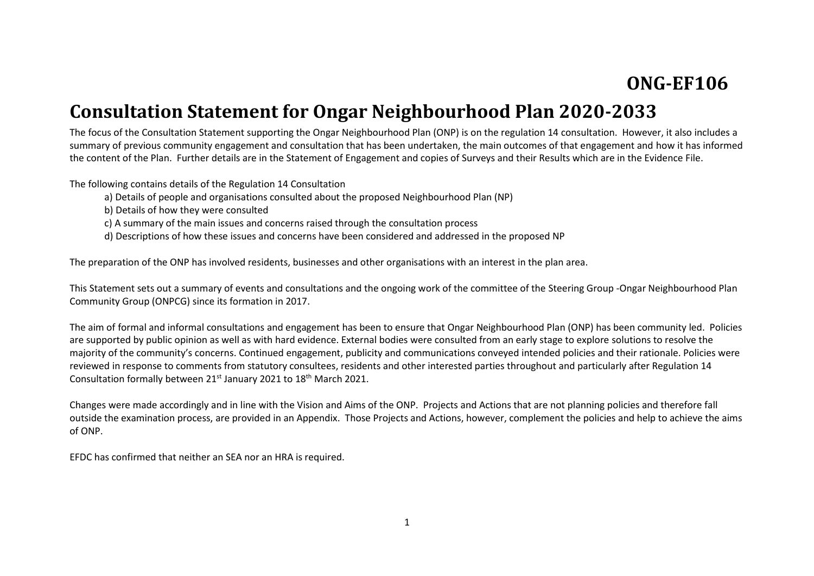# **ONG-EF106**

# **Consultation Statement for Ongar Neighbourhood Plan 2020-2033**

The focus of the Consultation Statement supporting the Ongar Neighbourhood Plan (ONP) is on the regulation 14 consultation. However, it also includes a summary of previous community engagement and consultation that has been undertaken, the main outcomes of that engagement and how it has informed the content of the Plan. Further details are in the Statement of Engagement and copies of Surveys and their Results which are in the Evidence File.

The following contains details of the Regulation 14 Consultation

- a) Details of people and organisations consulted about the proposed Neighbourhood Plan (NP)
- b) Details of how they were consulted
- c) A summary of the main issues and concerns raised through the consultation process
- d) Descriptions of how these issues and concerns have been considered and addressed in the proposed NP

The preparation of the ONP has involved residents, businesses and other organisations with an interest in the plan area.

This Statement sets out a summary of events and consultations and the ongoing work of the committee of the Steering Group -Ongar Neighbourhood Plan Community Group (ONPCG) since its formation in 2017.

The aim of formal and informal consultations and engagement has been to ensure that Ongar Neighbourhood Plan (ONP) has been community led. Policies are supported by public opinion as well as with hard evidence. External bodies were consulted from an early stage to explore solutions to resolve the majority of the community's concerns. Continued engagement, publicity and communications conveyed intended policies and their rationale. Policies were reviewed in response to comments from statutory consultees, residents and other interested parties throughout and particularly after Regulation 14 Consultation formally between 21<sup>st</sup> January 2021 to 18<sup>th</sup> March 2021.

Changes were made accordingly and in line with the Vision and Aims of the ONP. Projects and Actions that are not planning policies and therefore fall outside the examination process, are provided in an Appendix. Those Projects and Actions, however, complement the policies and help to achieve the aims of ONP.

EFDC has confirmed that neither an SEA nor an HRA is required.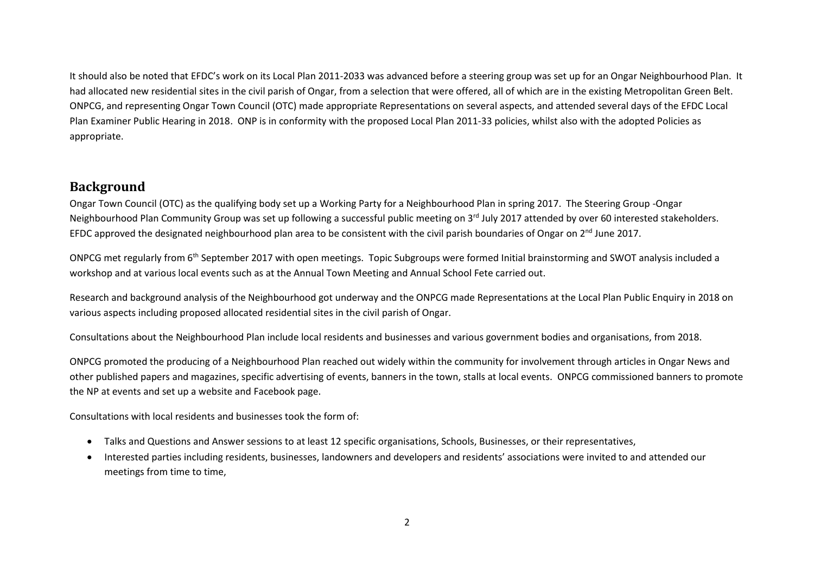It should also be noted that EFDC's work on its Local Plan 2011-2033 was advanced before a steering group was set up for an Ongar Neighbourhood Plan. It had allocated new residential sites in the civil parish of Ongar, from a selection that were offered, all of which are in the existing Metropolitan Green Belt. ONPCG, and representing Ongar Town Council (OTC) made appropriate Representations on several aspects, and attended several days of the EFDC Local Plan Examiner Public Hearing in 2018. ONP is in conformity with the proposed Local Plan 2011-33 policies, whilst also with the adopted Policies as appropriate.

#### **Background**

Ongar Town Council (OTC) as the qualifying body set up a Working Party for a Neighbourhood Plan in spring 2017. The Steering Group -Ongar Neighbourhood Plan Community Group was set up following a successful public meeting on 3<sup>rd</sup> July 2017 attended by over 60 interested stakeholders. EFDC approved the designated neighbourhood plan area to be consistent with the civil parish boundaries of Ongar on 2<sup>nd</sup> June 2017.

ONPCG met regularly from 6<sup>th</sup> September 2017 with open meetings. Topic Subgroups were formed Initial brainstorming and SWOT analysis included a workshop and at various local events such as at the Annual Town Meeting and Annual School Fete carried out.

Research and background analysis of the Neighbourhood got underway and the ONPCG made Representations at the Local Plan Public Enquiry in 2018 on various aspects including proposed allocated residential sites in the civil parish of Ongar.

Consultations about the Neighbourhood Plan include local residents and businesses and various government bodies and organisations, from 2018.

ONPCG promoted the producing of a Neighbourhood Plan reached out widely within the community for involvement through articles in Ongar News and other published papers and magazines, specific advertising of events, banners in the town, stalls at local events. ONPCG commissioned banners to promote the NP at events and set up a website and Facebook page.

Consultations with local residents and businesses took the form of:

- Talks and Questions and Answer sessions to at least 12 specific organisations, Schools, Businesses, or their representatives,
- Interested parties including residents, businesses, landowners and developers and residents' associations were invited to and attended our meetings from time to time,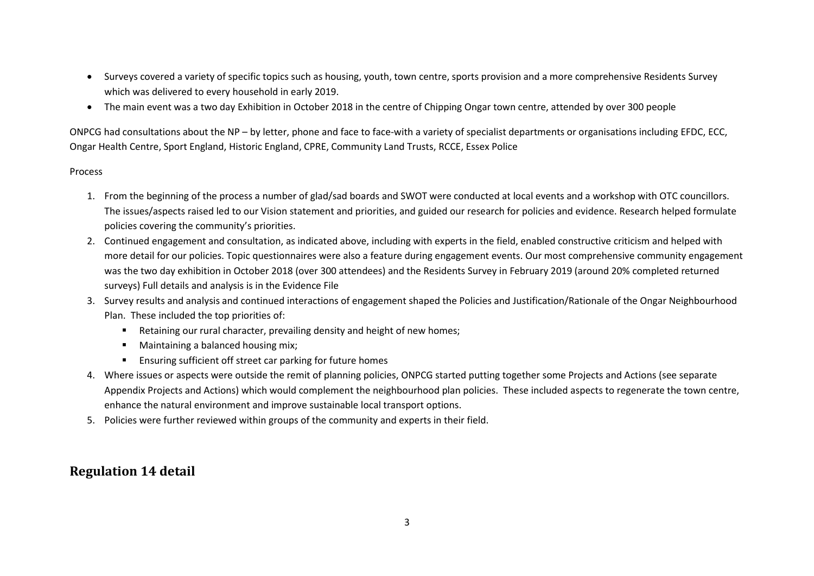- Surveys covered a variety of specific topics such as housing, youth, town centre, sports provision and a more comprehensive Residents Survey which was delivered to every household in early 2019.
- The main event was a two day Exhibition in October 2018 in the centre of Chipping Ongar town centre, attended by over 300 people

ONPCG had consultations about the NP – by letter, phone and face to face-with a variety of specialist departments or organisations including EFDC, ECC, Ongar Health Centre, Sport England, Historic England, CPRE, Community Land Trusts, RCCE, Essex Police

#### Process

- 1. From the beginning of the process a number of glad/sad boards and SWOT were conducted at local events and a workshop with OTC councillors. The issues/aspects raised led to our Vision statement and priorities, and guided our research for policies and evidence. Research helped formulate policies covering the community's priorities.
- 2. Continued engagement and consultation, as indicated above, including with experts in the field, enabled constructive criticism and helped with more detail for our policies. Topic questionnaires were also a feature during engagement events. Our most comprehensive community engagement was the two day exhibition in October 2018 (over 300 attendees) and the Residents Survey in February 2019 (around 20% completed returned surveys) Full details and analysis is in the Evidence File
- 3. Survey results and analysis and continued interactions of engagement shaped the Policies and Justification/Rationale of the Ongar Neighbourhood Plan. These included the top priorities of:
	- Retaining our rural character, prevailing density and height of new homes;
	- Maintaining a balanced housing mix;
	- Ensuring sufficient off street car parking for future homes
- 4. Where issues or aspects were outside the remit of planning policies, ONPCG started putting together some Projects and Actions (see separate Appendix Projects and Actions) which would complement the neighbourhood plan policies. These included aspects to regenerate the town centre, enhance the natural environment and improve sustainable local transport options.
- 5. Policies were further reviewed within groups of the community and experts in their field.

#### **Regulation 14 detail**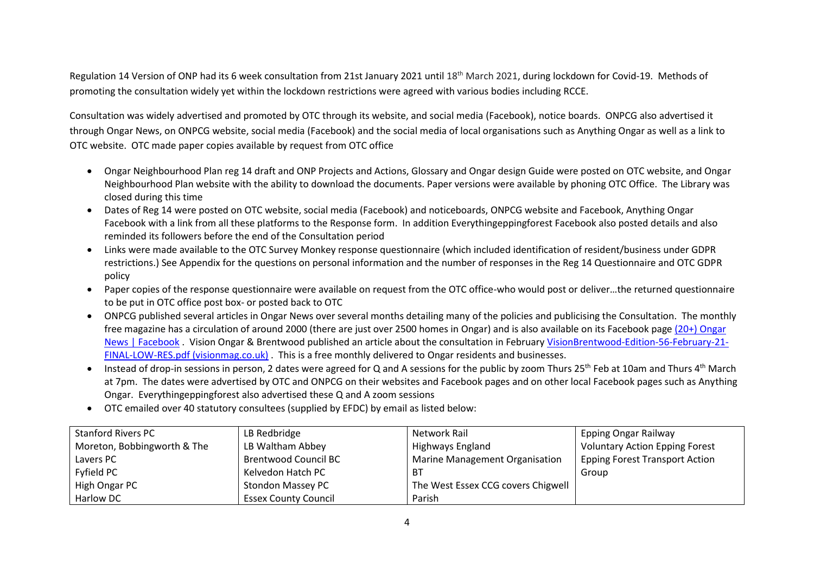Regulation 14 Version of ONP had its 6 week consultation from 21st January 2021 until 18<sup>th</sup> March 2021, during lockdown for Covid-19. Methods of promoting the consultation widely yet within the lockdown restrictions were agreed with various bodies including RCCE.

Consultation was widely advertised and promoted by OTC through its website, and social media (Facebook), notice boards. ONPCG also advertised it through Ongar News, on ONPCG website, social media (Facebook) and the social media of local organisations such as Anything Ongar as well as a link to OTC website. OTC made paper copies available by request from OTC office

- Ongar Neighbourhood Plan reg 14 draft and ONP Projects and Actions, Glossary and Ongar design Guide were posted on OTC website, and Ongar Neighbourhood Plan website with the ability to download the documents. Paper versions were available by phoning OTC Office. The Library was closed during this time
- Dates of Reg 14 were posted on OTC website, social media (Facebook) and noticeboards, ONPCG website and Facebook, Anything Ongar Facebook with a link from all these platforms to the Response form. In addition Everythingeppingforest Facebook also posted details and also reminded its followers before the end of the Consultation period
- Links were made available to the OTC Survey Monkey response questionnaire (which included identification of resident/business under GDPR restrictions.) See Appendix for the questions on personal information and the number of responses in the Reg 14 Questionnaire and OTC GDPR policy
- Paper copies of the response questionnaire were available on request from the OTC office-who would post or deliver…the returned questionnaire to be put in OTC office post box- or posted back to OTC
- ONPCG published several articles in Ongar News over several months detailing many of the policies and publicising the Consultation. The monthly free magazine has a circulation of around 2000 (there are just over 2500 homes in Ongar) and is also available on its Facebook page [\(20+\) Ongar](https://www.facebook.com/OngarNews/)  [News | Facebook](https://www.facebook.com/OngarNews/) . Vision Ongar & Brentwood published an article about the consultation in February [VisionBrentwood-Edition-56-February-21-](https://visionmag.co.uk/brentwood/wp-content/uploads/sites/7/2021/02/VisionBrentwood-Edition-56-February-21-FINAL-LOW-RES.pdf) [FINAL-LOW-RES.pdf \(visionmag.co.uk\)](https://visionmag.co.uk/brentwood/wp-content/uploads/sites/7/2021/02/VisionBrentwood-Edition-56-February-21-FINAL-LOW-RES.pdf) . This is a free monthly delivered to Ongar residents and businesses.
- Instead of drop-in sessions in person, 2 dates were agreed for Q and A sessions for the public by zoom Thurs 25<sup>th</sup> Feb at 10am and Thurs 4<sup>th</sup> March at 7pm. The dates were advertised by OTC and ONPCG on their websites and Facebook pages and on other local Facebook pages such as Anything Ongar. Everythingeppingforest also advertised these Q and A zoom sessions
- OTC emailed over 40 statutory consultees (supplied by EFDC) by email as listed below:

| Stanford Rivers PC          | LB Redbridge                | Network Rail                       | <b>Epping Ongar Railway</b>           |
|-----------------------------|-----------------------------|------------------------------------|---------------------------------------|
| Moreton, Bobbingworth & The | LB Waltham Abbey            | Highways England                   | <b>Voluntary Action Epping Forest</b> |
| Lavers PC                   | <b>Brentwood Council BC</b> | Marine Management Organisation     | <b>Epping Forest Transport Action</b> |
| Fyfield PC                  | Kelvedon Hatch PC           | BT                                 | Group                                 |
| High Ongar PC               | <b>Stondon Massey PC</b>    | The West Essex CCG covers Chigwell |                                       |
| <b>Harlow DC</b>            | <b>Essex County Council</b> | Parish                             |                                       |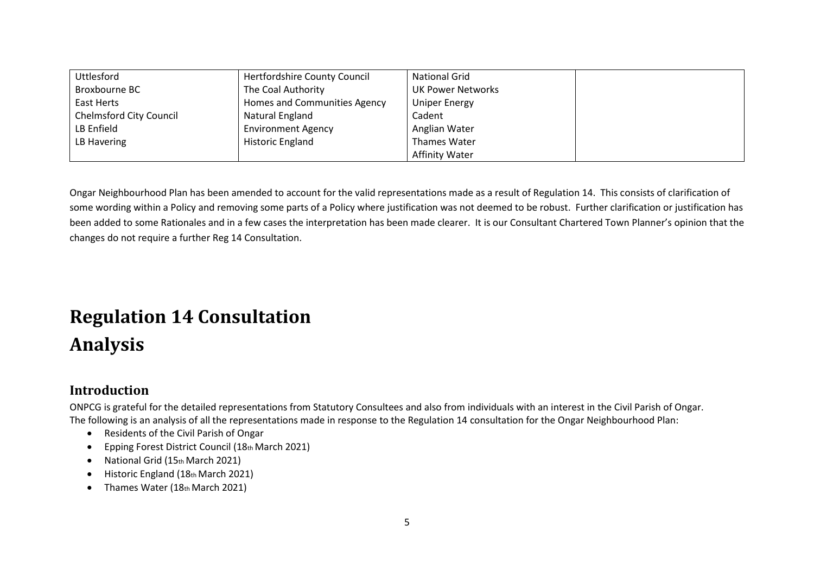| <b>Uttlesford</b>              | Hertfordshire County Council | <b>National Grid</b>     |  |
|--------------------------------|------------------------------|--------------------------|--|
| Broxbourne BC                  | The Coal Authority           | <b>UK Power Networks</b> |  |
| East Herts                     | Homes and Communities Agency | <b>Uniper Energy</b>     |  |
| <b>Chelmsford City Council</b> | Natural England              | Cadent                   |  |
| LB Enfield                     | <b>Environment Agency</b>    | Anglian Water            |  |
| LB Havering                    | <b>Historic England</b>      | Thames Water             |  |
|                                |                              | <b>Affinity Water</b>    |  |

Ongar Neighbourhood Plan has been amended to account for the valid representations made as a result of Regulation 14. This consists of clarification of some wording within a Policy and removing some parts of a Policy where justification was not deemed to be robust. Further clarification or justification has been added to some Rationales and in a few cases the interpretation has been made clearer. It is our Consultant Chartered Town Planner's opinion that the changes do not require a further Reg 14 Consultation.

# **Regulation 14 Consultation Analysis**

#### **Introduction**

ONPCG is grateful for the detailed representations from Statutory Consultees and also from individuals with an interest in the Civil Parish of Ongar. The following is an analysis of all the representations made in response to the Regulation 14 consultation for the Ongar Neighbourhood Plan:

- Residents of the Civil Parish of Ongar
- Epping Forest District Council (18th March 2021)
- National Grid (15th March 2021)
- Historic England (18th March 2021)
- Thames Water (18th March 2021)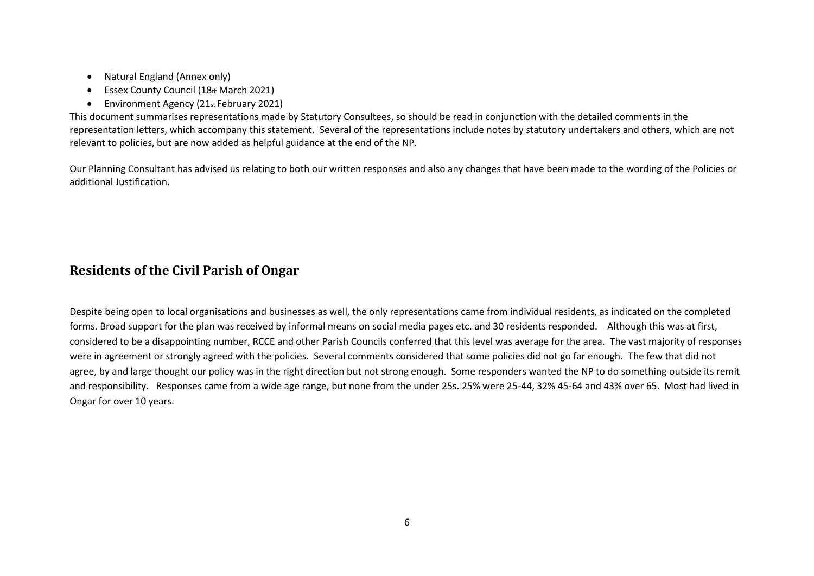- Natural England (Annex only)
- Essex County Council (18th March 2021)
- Environment Agency (21st February 2021)

This document summarises representations made by Statutory Consultees, so should be read in conjunction with the detailed comments in the representation letters, which accompany this statement. Several of the representations include notes by statutory undertakers and others, which are not relevant to policies, but are now added as helpful guidance at the end of the NP.

Our Planning Consultant has advised us relating to both our written responses and also any changes that have been made to the wording of the Policies or additional Justification.

### **Residents of the Civil Parish of Ongar**

Despite being open to local organisations and businesses as well, the only representations came from individual residents, as indicated on the completed forms. Broad support for the plan was received by informal means on social media pages etc. and 30 residents responded. Although this was at first, considered to be a disappointing number, RCCE and other Parish Councils conferred that this level was average for the area. The vast majority of responses were in agreement or strongly agreed with the policies. Several comments considered that some policies did not go far enough. The few that did not agree, by and large thought our policy was in the right direction but not strong enough. Some responders wanted the NP to do something outside its remit and responsibility. Responses came from a wide age range, but none from the under 25s. 25% were 25-44, 32% 45-64 and 43% over 65. Most had lived in Ongar for over 10 years.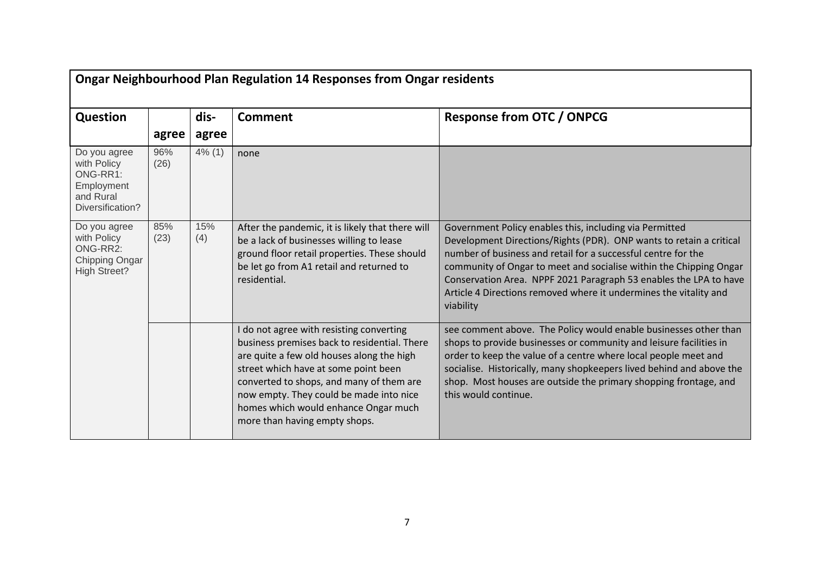|                                                                                        |             |            | <b>Ongar Neighbourhood Plan Regulation 14 Responses from Ongar residents</b>                                                                                                                                                                                                                                                                  |                                                                                                                                                                                                                                                                                                                                                                                                                              |
|----------------------------------------------------------------------------------------|-------------|------------|-----------------------------------------------------------------------------------------------------------------------------------------------------------------------------------------------------------------------------------------------------------------------------------------------------------------------------------------------|------------------------------------------------------------------------------------------------------------------------------------------------------------------------------------------------------------------------------------------------------------------------------------------------------------------------------------------------------------------------------------------------------------------------------|
| Question                                                                               |             | dis-       | <b>Comment</b>                                                                                                                                                                                                                                                                                                                                | <b>Response from OTC / ONPCG</b>                                                                                                                                                                                                                                                                                                                                                                                             |
|                                                                                        | agree       | agree      |                                                                                                                                                                                                                                                                                                                                               |                                                                                                                                                                                                                                                                                                                                                                                                                              |
| Do you agree<br>with Policy<br>ONG-RR1:<br>Employment<br>and Rural<br>Diversification? | 96%<br>(26) | 4% (1)     | none                                                                                                                                                                                                                                                                                                                                          |                                                                                                                                                                                                                                                                                                                                                                                                                              |
| Do you agree<br>with Policy<br>ONG-RR2:<br>Chipping Ongar<br><b>High Street?</b>       | 85%<br>(23) | 15%<br>(4) | After the pandemic, it is likely that there will<br>be a lack of businesses willing to lease<br>ground floor retail properties. These should<br>be let go from A1 retail and returned to<br>residential.                                                                                                                                      | Government Policy enables this, including via Permitted<br>Development Directions/Rights (PDR). ONP wants to retain a critical<br>number of business and retail for a successful centre for the<br>community of Ongar to meet and socialise within the Chipping Ongar<br>Conservation Area. NPPF 2021 Paragraph 53 enables the LPA to have<br>Article 4 Directions removed where it undermines the vitality and<br>viability |
|                                                                                        |             |            | I do not agree with resisting converting<br>business premises back to residential. There<br>are quite a few old houses along the high<br>street which have at some point been<br>converted to shops, and many of them are<br>now empty. They could be made into nice<br>homes which would enhance Ongar much<br>more than having empty shops. | see comment above. The Policy would enable businesses other than<br>shops to provide businesses or community and leisure facilities in<br>order to keep the value of a centre where local people meet and<br>socialise. Historically, many shopkeepers lived behind and above the<br>shop. Most houses are outside the primary shopping frontage, and<br>this would continue.                                                |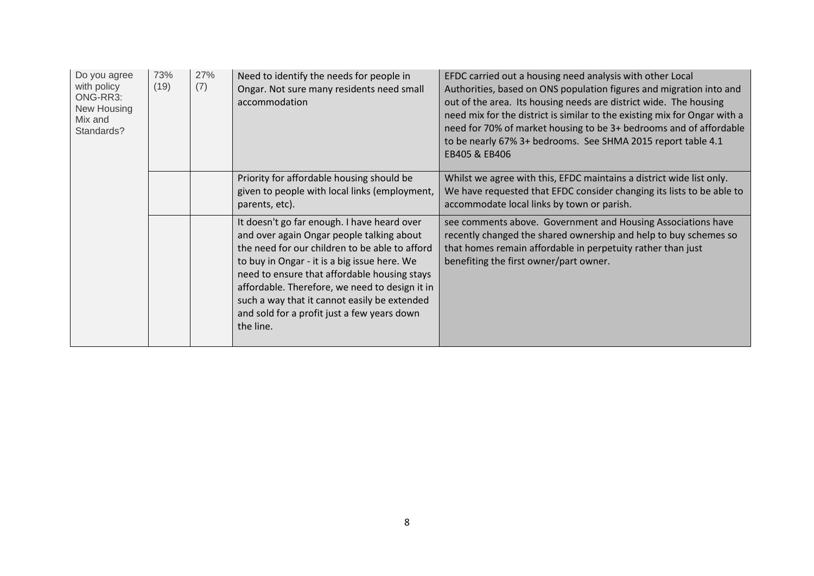| Do you agree<br>with policy<br>ONG-RR3:<br>New Housing<br>Mix and<br>Standards? | 73%<br>(19) | 27%<br>(7) | Need to identify the needs for people in<br>Ongar. Not sure many residents need small<br>accommodation                                                                                                                                                                                                                                                                                                   | EFDC carried out a housing need analysis with other Local<br>Authorities, based on ONS population figures and migration into and<br>out of the area. Its housing needs are district wide. The housing<br>need mix for the district is similar to the existing mix for Ongar with a<br>need for 70% of market housing to be 3+ bedrooms and of affordable<br>to be nearly 67% 3+ bedrooms. See SHMA 2015 report table 4.1<br>EB405 & EB406 |
|---------------------------------------------------------------------------------|-------------|------------|----------------------------------------------------------------------------------------------------------------------------------------------------------------------------------------------------------------------------------------------------------------------------------------------------------------------------------------------------------------------------------------------------------|-------------------------------------------------------------------------------------------------------------------------------------------------------------------------------------------------------------------------------------------------------------------------------------------------------------------------------------------------------------------------------------------------------------------------------------------|
|                                                                                 |             |            | Priority for affordable housing should be<br>given to people with local links (employment,<br>parents, etc).                                                                                                                                                                                                                                                                                             | Whilst we agree with this, EFDC maintains a district wide list only.<br>We have requested that EFDC consider changing its lists to be able to<br>accommodate local links by town or parish.                                                                                                                                                                                                                                               |
|                                                                                 |             |            | It doesn't go far enough. I have heard over<br>and over again Ongar people talking about<br>the need for our children to be able to afford<br>to buy in Ongar - it is a big issue here. We<br>need to ensure that affordable housing stays<br>affordable. Therefore, we need to design it in<br>such a way that it cannot easily be extended<br>and sold for a profit just a few years down<br>the line. | see comments above. Government and Housing Associations have<br>recently changed the shared ownership and help to buy schemes so<br>that homes remain affordable in perpetuity rather than just<br>benefiting the first owner/part owner.                                                                                                                                                                                                 |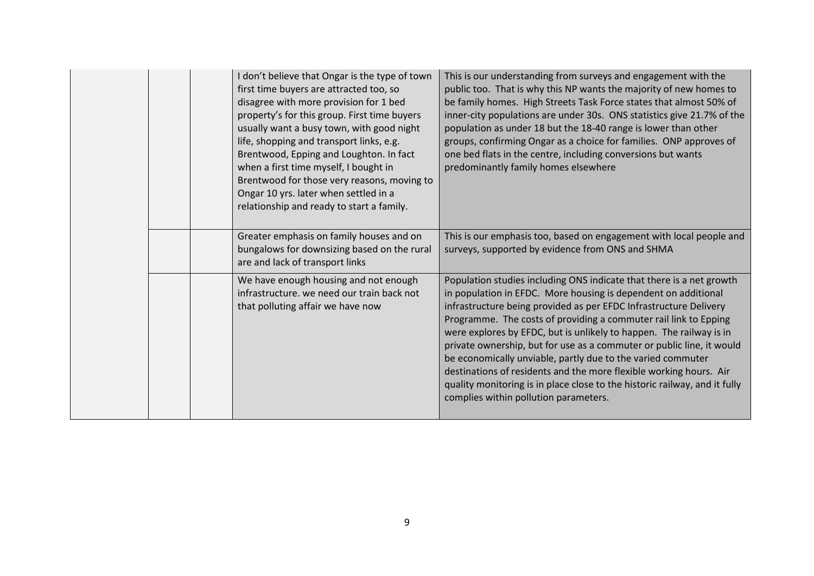|  | I don't believe that Ongar is the type of town<br>first time buyers are attracted too, so<br>disagree with more provision for 1 bed<br>property's for this group. First time buyers<br>usually want a busy town, with good night<br>life, shopping and transport links, e.g.<br>Brentwood, Epping and Loughton. In fact<br>when a first time myself, I bought in<br>Brentwood for those very reasons, moving to<br>Ongar 10 yrs. later when settled in a<br>relationship and ready to start a family. | This is our understanding from surveys and engagement with the<br>public too. That is why this NP wants the majority of new homes to<br>be family homes. High Streets Task Force states that almost 50% of<br>inner-city populations are under 30s. ONS statistics give 21.7% of the<br>population as under 18 but the 18-40 range is lower than other<br>groups, confirming Ongar as a choice for families. ONP approves of<br>one bed flats in the centre, including conversions but wants<br>predominantly family homes elsewhere                                                                                                                                                        |
|--|-------------------------------------------------------------------------------------------------------------------------------------------------------------------------------------------------------------------------------------------------------------------------------------------------------------------------------------------------------------------------------------------------------------------------------------------------------------------------------------------------------|---------------------------------------------------------------------------------------------------------------------------------------------------------------------------------------------------------------------------------------------------------------------------------------------------------------------------------------------------------------------------------------------------------------------------------------------------------------------------------------------------------------------------------------------------------------------------------------------------------------------------------------------------------------------------------------------|
|  | Greater emphasis on family houses and on<br>bungalows for downsizing based on the rural<br>are and lack of transport links                                                                                                                                                                                                                                                                                                                                                                            | This is our emphasis too, based on engagement with local people and<br>surveys, supported by evidence from ONS and SHMA                                                                                                                                                                                                                                                                                                                                                                                                                                                                                                                                                                     |
|  | We have enough housing and not enough<br>infrastructure. we need our train back not<br>that polluting affair we have now                                                                                                                                                                                                                                                                                                                                                                              | Population studies including ONS indicate that there is a net growth<br>in population in EFDC. More housing is dependent on additional<br>infrastructure being provided as per EFDC Infrastructure Delivery<br>Programme. The costs of providing a commuter rail link to Epping<br>were explores by EFDC, but is unlikely to happen. The railway is in<br>private ownership, but for use as a commuter or public line, it would<br>be economically unviable, partly due to the varied commuter<br>destinations of residents and the more flexible working hours. Air<br>quality monitoring is in place close to the historic railway, and it fully<br>complies within pollution parameters. |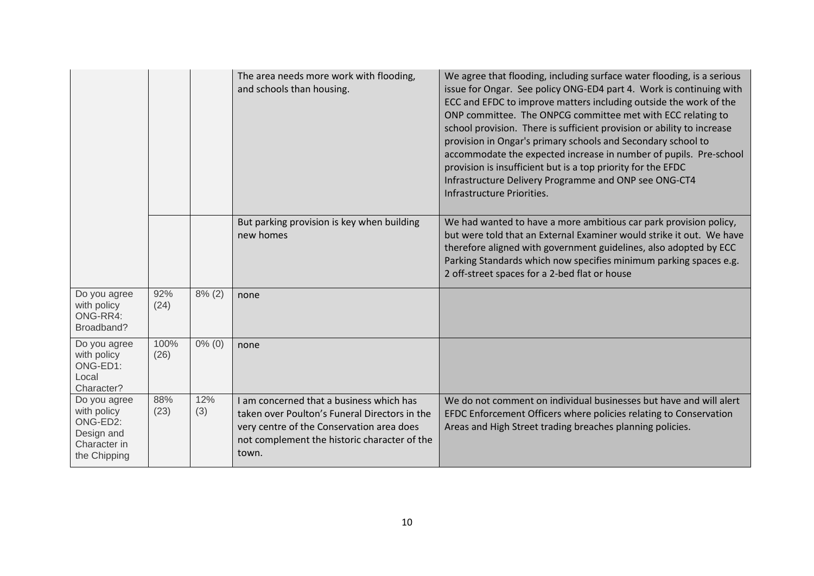|                                                                                       |              |            | The area needs more work with flooding,<br>and schools than housing.                                                                                                                            | We agree that flooding, including surface water flooding, is a serious<br>issue for Ongar. See policy ONG-ED4 part 4. Work is continuing with<br>ECC and EFDC to improve matters including outside the work of the<br>ONP committee. The ONPCG committee met with ECC relating to<br>school provision. There is sufficient provision or ability to increase<br>provision in Ongar's primary schools and Secondary school to<br>accommodate the expected increase in number of pupils. Pre-school<br>provision is insufficient but is a top priority for the EFDC<br>Infrastructure Delivery Programme and ONP see ONG-CT4<br>Infrastructure Priorities. |
|---------------------------------------------------------------------------------------|--------------|------------|-------------------------------------------------------------------------------------------------------------------------------------------------------------------------------------------------|---------------------------------------------------------------------------------------------------------------------------------------------------------------------------------------------------------------------------------------------------------------------------------------------------------------------------------------------------------------------------------------------------------------------------------------------------------------------------------------------------------------------------------------------------------------------------------------------------------------------------------------------------------|
|                                                                                       |              |            | But parking provision is key when building<br>new homes                                                                                                                                         | We had wanted to have a more ambitious car park provision policy,<br>but were told that an External Examiner would strike it out. We have<br>therefore aligned with government guidelines, also adopted by ECC<br>Parking Standards which now specifies minimum parking spaces e.g.<br>2 off-street spaces for a 2-bed flat or house                                                                                                                                                                                                                                                                                                                    |
| Do you agree<br>with policy<br>ONG-RR4:<br>Broadband?                                 | 92%<br>(24)  | $8\%$ (2)  | none                                                                                                                                                                                            |                                                                                                                                                                                                                                                                                                                                                                                                                                                                                                                                                                                                                                                         |
| Do you agree<br>with policy<br>ONG-ED1:<br>Local<br>Character?                        | 100%<br>(26) | $0\%$ (0)  | none                                                                                                                                                                                            |                                                                                                                                                                                                                                                                                                                                                                                                                                                                                                                                                                                                                                                         |
| Do you agree<br>with policy<br>ONG-ED2:<br>Design and<br>Character in<br>the Chipping | 88%<br>(23)  | 12%<br>(3) | I am concerned that a business which has<br>taken over Poulton's Funeral Directors in the<br>very centre of the Conservation area does<br>not complement the historic character of the<br>town. | We do not comment on individual businesses but have and will alert<br>EFDC Enforcement Officers where policies relating to Conservation<br>Areas and High Street trading breaches planning policies.                                                                                                                                                                                                                                                                                                                                                                                                                                                    |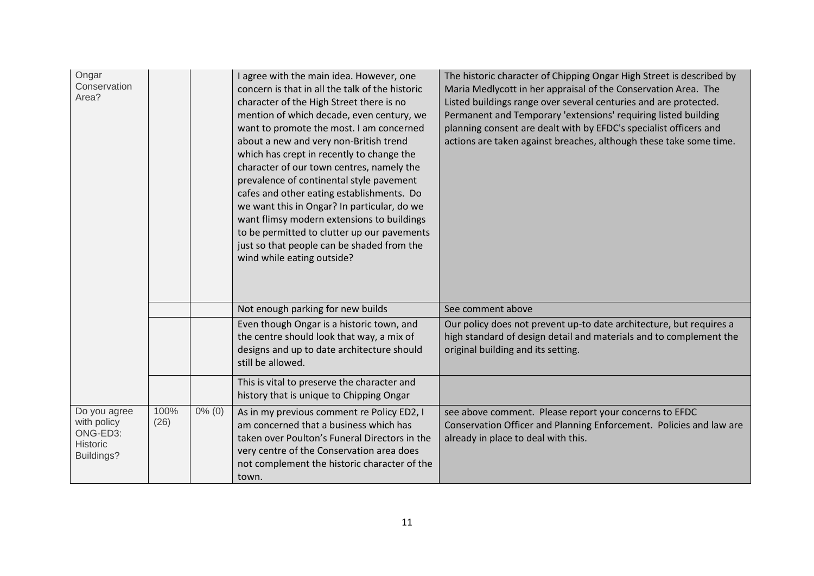| Ongar<br>Conservation<br>Area?                                    |              |           | I agree with the main idea. However, one<br>concern is that in all the talk of the historic<br>character of the High Street there is no<br>mention of which decade, even century, we<br>want to promote the most. I am concerned<br>about a new and very non-British trend<br>which has crept in recently to change the<br>character of our town centres, namely the<br>prevalence of continental style pavement<br>cafes and other eating establishments. Do<br>we want this in Ongar? In particular, do we<br>want flimsy modern extensions to buildings<br>to be permitted to clutter up our pavements<br>just so that people can be shaded from the<br>wind while eating outside? | The historic character of Chipping Ongar High Street is described by<br>Maria Medlycott in her appraisal of the Conservation Area. The<br>Listed buildings range over several centuries and are protected.<br>Permanent and Temporary 'extensions' requiring listed building<br>planning consent are dealt with by EFDC's specialist officers and<br>actions are taken against breaches, although these take some time. |
|-------------------------------------------------------------------|--------------|-----------|---------------------------------------------------------------------------------------------------------------------------------------------------------------------------------------------------------------------------------------------------------------------------------------------------------------------------------------------------------------------------------------------------------------------------------------------------------------------------------------------------------------------------------------------------------------------------------------------------------------------------------------------------------------------------------------|-------------------------------------------------------------------------------------------------------------------------------------------------------------------------------------------------------------------------------------------------------------------------------------------------------------------------------------------------------------------------------------------------------------------------|
|                                                                   |              |           | Not enough parking for new builds                                                                                                                                                                                                                                                                                                                                                                                                                                                                                                                                                                                                                                                     | See comment above                                                                                                                                                                                                                                                                                                                                                                                                       |
|                                                                   |              |           | Even though Ongar is a historic town, and<br>the centre should look that way, a mix of<br>designs and up to date architecture should<br>still be allowed.                                                                                                                                                                                                                                                                                                                                                                                                                                                                                                                             | Our policy does not prevent up-to date architecture, but requires a<br>high standard of design detail and materials and to complement the<br>original building and its setting.                                                                                                                                                                                                                                         |
|                                                                   |              |           | This is vital to preserve the character and<br>history that is unique to Chipping Ongar                                                                                                                                                                                                                                                                                                                                                                                                                                                                                                                                                                                               |                                                                                                                                                                                                                                                                                                                                                                                                                         |
| Do you agree<br>with policy<br>ONG-ED3:<br>Historic<br>Buildings? | 100%<br>(26) | $0\%$ (0) | As in my previous comment re Policy ED2, I<br>am concerned that a business which has<br>taken over Poulton's Funeral Directors in the<br>very centre of the Conservation area does<br>not complement the historic character of the<br>town.                                                                                                                                                                                                                                                                                                                                                                                                                                           | see above comment. Please report your concerns to EFDC<br>Conservation Officer and Planning Enforcement. Policies and law are<br>already in place to deal with this.                                                                                                                                                                                                                                                    |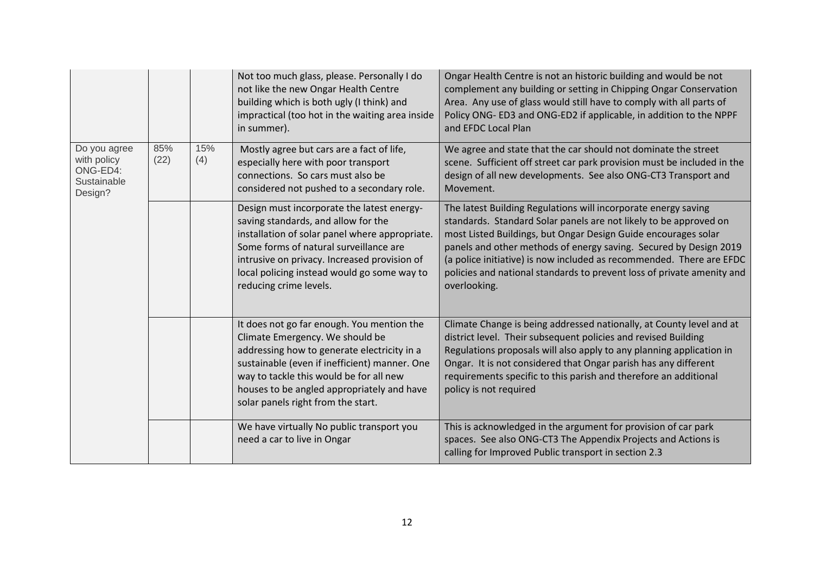|                                                                   |             |            | Not too much glass, please. Personally I do<br>not like the new Ongar Health Centre<br>building which is both ugly (I think) and<br>impractical (too hot in the waiting area inside<br>in summer).                                                                                                           | Ongar Health Centre is not an historic building and would be not<br>complement any building or setting in Chipping Ongar Conservation<br>Area. Any use of glass would still have to comply with all parts of<br>Policy ONG- ED3 and ONG-ED2 if applicable, in addition to the NPPF<br>and EFDC Local Plan                                                                                                                                    |
|-------------------------------------------------------------------|-------------|------------|--------------------------------------------------------------------------------------------------------------------------------------------------------------------------------------------------------------------------------------------------------------------------------------------------------------|----------------------------------------------------------------------------------------------------------------------------------------------------------------------------------------------------------------------------------------------------------------------------------------------------------------------------------------------------------------------------------------------------------------------------------------------|
| Do you agree<br>with policy<br>ONG-ED4:<br>Sustainable<br>Design? | 85%<br>(22) | 15%<br>(4) | Mostly agree but cars are a fact of life,<br>especially here with poor transport<br>connections. So cars must also be<br>considered not pushed to a secondary role.                                                                                                                                          | We agree and state that the car should not dominate the street<br>scene. Sufficient off street car park provision must be included in the<br>design of all new developments. See also ONG-CT3 Transport and<br>Movement.                                                                                                                                                                                                                     |
|                                                                   |             |            | Design must incorporate the latest energy-<br>saving standards, and allow for the<br>installation of solar panel where appropriate.<br>Some forms of natural surveillance are<br>intrusive on privacy. Increased provision of<br>local policing instead would go some way to<br>reducing crime levels.       | The latest Building Regulations will incorporate energy saving<br>standards. Standard Solar panels are not likely to be approved on<br>most Listed Buildings, but Ongar Design Guide encourages solar<br>panels and other methods of energy saving. Secured by Design 2019<br>(a police initiative) is now included as recommended. There are EFDC<br>policies and national standards to prevent loss of private amenity and<br>overlooking. |
|                                                                   |             |            | It does not go far enough. You mention the<br>Climate Emergency. We should be<br>addressing how to generate electricity in a<br>sustainable (even if inefficient) manner. One<br>way to tackle this would be for all new<br>houses to be angled appropriately and have<br>solar panels right from the start. | Climate Change is being addressed nationally, at County level and at<br>district level. Their subsequent policies and revised Building<br>Regulations proposals will also apply to any planning application in<br>Ongar. It is not considered that Ongar parish has any different<br>requirements specific to this parish and therefore an additional<br>policy is not required                                                              |
|                                                                   |             |            | We have virtually No public transport you<br>need a car to live in Ongar                                                                                                                                                                                                                                     | This is acknowledged in the argument for provision of car park<br>spaces. See also ONG-CT3 The Appendix Projects and Actions is<br>calling for Improved Public transport in section 2.3                                                                                                                                                                                                                                                      |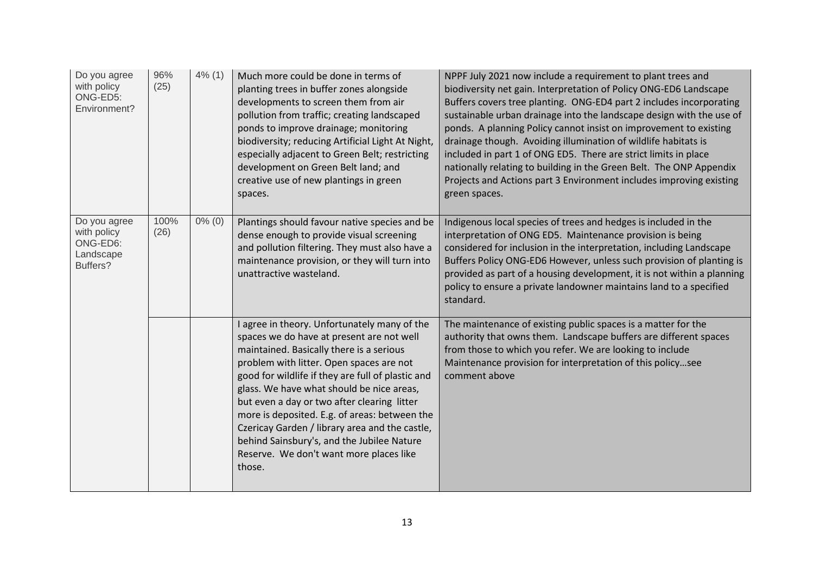| Do you agree<br>with policy<br>ONG-ED5:<br>Environment?          | 96%<br>(25)  | 4% (1)    | Much more could be done in terms of<br>planting trees in buffer zones alongside<br>developments to screen them from air<br>pollution from traffic; creating landscaped<br>ponds to improve drainage; monitoring<br>biodiversity; reducing Artificial Light At Night,<br>especially adjacent to Green Belt; restricting<br>development on Green Belt land; and<br>creative use of new plantings in green<br>spaces.                                                                                                                       | NPPF July 2021 now include a requirement to plant trees and<br>biodiversity net gain. Interpretation of Policy ONG-ED6 Landscape<br>Buffers covers tree planting. ONG-ED4 part 2 includes incorporating<br>sustainable urban drainage into the landscape design with the use of<br>ponds. A planning Policy cannot insist on improvement to existing<br>drainage though. Avoiding illumination of wildlife habitats is<br>included in part 1 of ONG ED5. There are strict limits in place<br>nationally relating to building in the Green Belt. The ONP Appendix<br>Projects and Actions part 3 Environment includes improving existing<br>green spaces. |
|------------------------------------------------------------------|--------------|-----------|------------------------------------------------------------------------------------------------------------------------------------------------------------------------------------------------------------------------------------------------------------------------------------------------------------------------------------------------------------------------------------------------------------------------------------------------------------------------------------------------------------------------------------------|----------------------------------------------------------------------------------------------------------------------------------------------------------------------------------------------------------------------------------------------------------------------------------------------------------------------------------------------------------------------------------------------------------------------------------------------------------------------------------------------------------------------------------------------------------------------------------------------------------------------------------------------------------|
| Do you agree<br>with policy<br>ONG-ED6:<br>Landscape<br>Buffers? | 100%<br>(26) | $0\%$ (0) | Plantings should favour native species and be<br>dense enough to provide visual screening<br>and pollution filtering. They must also have a<br>maintenance provision, or they will turn into<br>unattractive wasteland.                                                                                                                                                                                                                                                                                                                  | Indigenous local species of trees and hedges is included in the<br>interpretation of ONG ED5. Maintenance provision is being<br>considered for inclusion in the interpretation, including Landscape<br>Buffers Policy ONG-ED6 However, unless such provision of planting is<br>provided as part of a housing development, it is not within a planning<br>policy to ensure a private landowner maintains land to a specified<br>standard.                                                                                                                                                                                                                 |
|                                                                  |              |           | I agree in theory. Unfortunately many of the<br>spaces we do have at present are not well<br>maintained. Basically there is a serious<br>problem with litter. Open spaces are not<br>good for wildlife if they are full of plastic and<br>glass. We have what should be nice areas,<br>but even a day or two after clearing litter<br>more is deposited. E.g. of areas: between the<br>Czericay Garden / library area and the castle,<br>behind Sainsbury's, and the Jubilee Nature<br>Reserve. We don't want more places like<br>those. | The maintenance of existing public spaces is a matter for the<br>authority that owns them. Landscape buffers are different spaces<br>from those to which you refer. We are looking to include<br>Maintenance provision for interpretation of this policysee<br>comment above                                                                                                                                                                                                                                                                                                                                                                             |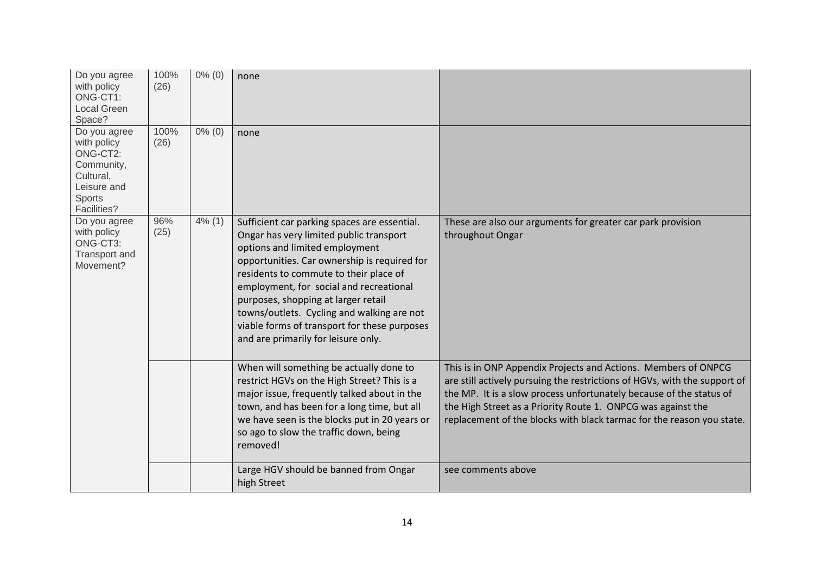| Do you agree<br>with policy<br>ONG-CT1:<br><b>Local Green</b><br>Space?                                           | 100%<br>(26) | $0\%$ (0) | none                                                                                                                                                                                                                                                                                                                                                                                                                                       |                                                                                                                                                                                                                                                                                                                                                             |
|-------------------------------------------------------------------------------------------------------------------|--------------|-----------|--------------------------------------------------------------------------------------------------------------------------------------------------------------------------------------------------------------------------------------------------------------------------------------------------------------------------------------------------------------------------------------------------------------------------------------------|-------------------------------------------------------------------------------------------------------------------------------------------------------------------------------------------------------------------------------------------------------------------------------------------------------------------------------------------------------------|
| Do you agree<br>with policy<br>ONG-CT2:<br>Community,<br>Cultural,<br>Leisure and<br><b>Sports</b><br>Facilities? | 100%<br>(26) | $0\%$ (0) | none                                                                                                                                                                                                                                                                                                                                                                                                                                       |                                                                                                                                                                                                                                                                                                                                                             |
| Do you agree<br>with policy<br>ONG-CT3:<br>Transport and<br>Movement?                                             | 96%<br>(25)  | 4% (1)    | Sufficient car parking spaces are essential.<br>Ongar has very limited public transport<br>options and limited employment<br>opportunities. Car ownership is required for<br>residents to commute to their place of<br>employment, for social and recreational<br>purposes, shopping at larger retail<br>towns/outlets. Cycling and walking are not<br>viable forms of transport for these purposes<br>and are primarily for leisure only. | These are also our arguments for greater car park provision<br>throughout Ongar                                                                                                                                                                                                                                                                             |
|                                                                                                                   |              |           | When will something be actually done to<br>restrict HGVs on the High Street? This is a<br>major issue, frequently talked about in the<br>town, and has been for a long time, but all<br>we have seen is the blocks put in 20 years or<br>so ago to slow the traffic down, being<br>removed!                                                                                                                                                | This is in ONP Appendix Projects and Actions. Members of ONPCG<br>are still actively pursuing the restrictions of HGVs, with the support of<br>the MP. It is a slow process unfortunately because of the status of<br>the High Street as a Priority Route 1. ONPCG was against the<br>replacement of the blocks with black tarmac for the reason you state. |
|                                                                                                                   |              |           | Large HGV should be banned from Ongar<br>high Street                                                                                                                                                                                                                                                                                                                                                                                       | see comments above                                                                                                                                                                                                                                                                                                                                          |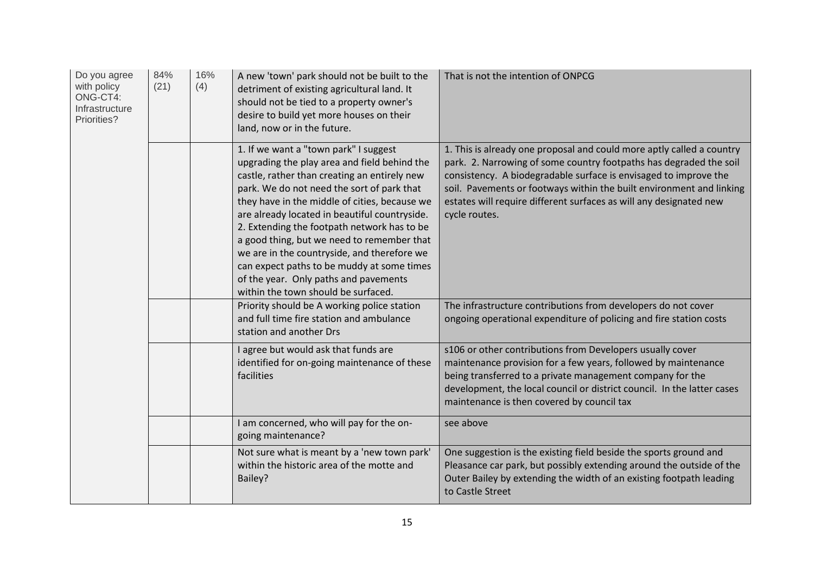| Do you agree<br>with policy<br>ONG-CT4:<br>Infrastructure<br>Priorities? | 84%<br>(21) | 16%<br>(4) | A new 'town' park should not be built to the<br>detriment of existing agricultural land. It<br>should not be tied to a property owner's<br>desire to build yet more houses on their<br>land, now or in the future.                                                                                                                                                                                                                                                                                                                                              | That is not the intention of ONPCG                                                                                                                                                                                                                                                                                                                                             |
|--------------------------------------------------------------------------|-------------|------------|-----------------------------------------------------------------------------------------------------------------------------------------------------------------------------------------------------------------------------------------------------------------------------------------------------------------------------------------------------------------------------------------------------------------------------------------------------------------------------------------------------------------------------------------------------------------|--------------------------------------------------------------------------------------------------------------------------------------------------------------------------------------------------------------------------------------------------------------------------------------------------------------------------------------------------------------------------------|
|                                                                          |             |            | 1. If we want a "town park" I suggest<br>upgrading the play area and field behind the<br>castle, rather than creating an entirely new<br>park. We do not need the sort of park that<br>they have in the middle of cities, because we<br>are already located in beautiful countryside.<br>2. Extending the footpath network has to be<br>a good thing, but we need to remember that<br>we are in the countryside, and therefore we<br>can expect paths to be muddy at some times<br>of the year. Only paths and pavements<br>within the town should be surfaced. | 1. This is already one proposal and could more aptly called a country<br>park. 2. Narrowing of some country footpaths has degraded the soil<br>consistency. A biodegradable surface is envisaged to improve the<br>soil. Pavements or footways within the built environment and linking<br>estates will require different surfaces as will any designated new<br>cycle routes. |
|                                                                          |             |            | Priority should be A working police station<br>and full time fire station and ambulance<br>station and another Drs                                                                                                                                                                                                                                                                                                                                                                                                                                              | The infrastructure contributions from developers do not cover<br>ongoing operational expenditure of policing and fire station costs                                                                                                                                                                                                                                            |
|                                                                          |             |            | I agree but would ask that funds are<br>identified for on-going maintenance of these<br>facilities                                                                                                                                                                                                                                                                                                                                                                                                                                                              | s106 or other contributions from Developers usually cover<br>maintenance provision for a few years, followed by maintenance<br>being transferred to a private management company for the<br>development, the local council or district council. In the latter cases<br>maintenance is then covered by council tax                                                              |
|                                                                          |             |            | I am concerned, who will pay for the on-<br>going maintenance?                                                                                                                                                                                                                                                                                                                                                                                                                                                                                                  | see above                                                                                                                                                                                                                                                                                                                                                                      |
|                                                                          |             |            | Not sure what is meant by a 'new town park'<br>within the historic area of the motte and<br>Bailey?                                                                                                                                                                                                                                                                                                                                                                                                                                                             | One suggestion is the existing field beside the sports ground and<br>Pleasance car park, but possibly extending around the outside of the<br>Outer Bailey by extending the width of an existing footpath leading<br>to Castle Street                                                                                                                                           |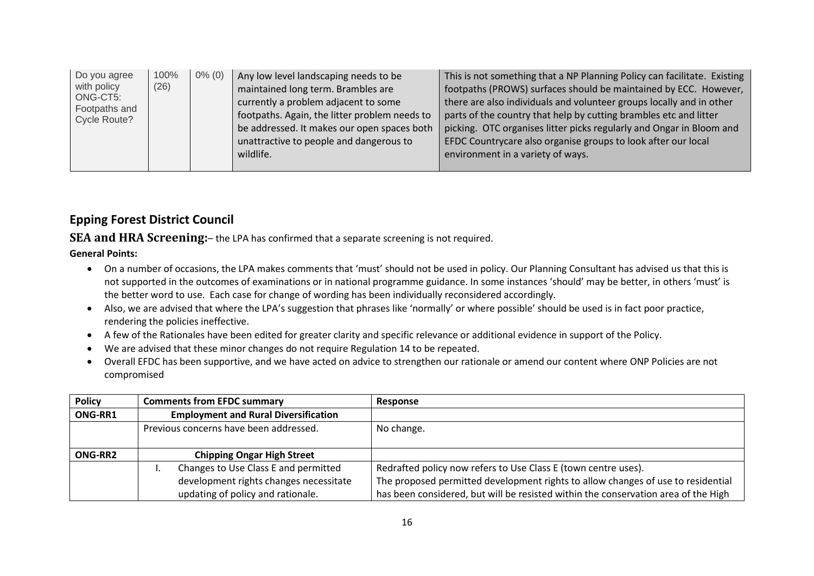| Do you agree<br>with policy<br>ONG-CT5:<br>Footpaths and<br>Cycle Route? | 100%<br>(26) | $0\%$ (0) | Any low level landscaping needs to be<br>maintained long term. Brambles are<br>currently a problem adjacent to some<br>footpaths. Again, the litter problem needs to<br>be addressed. It makes our open spaces both<br>unattractive to people and dangerous to<br>wildlife. | This is not something that a NP Planning Policy can facilitate. Existing<br>footpaths (PROWS) surfaces should be maintained by ECC. However,<br>there are also individuals and volunteer groups locally and in other<br>parts of the country that help by cutting brambles etc and litter<br>picking. OTC organises litter picks regularly and Ongar in Bloom and<br>EFDC Countrycare also organise groups to look after our local<br>environment in a variety of ways. |
|--------------------------------------------------------------------------|--------------|-----------|-----------------------------------------------------------------------------------------------------------------------------------------------------------------------------------------------------------------------------------------------------------------------------|-------------------------------------------------------------------------------------------------------------------------------------------------------------------------------------------------------------------------------------------------------------------------------------------------------------------------------------------------------------------------------------------------------------------------------------------------------------------------|
|--------------------------------------------------------------------------|--------------|-----------|-----------------------------------------------------------------------------------------------------------------------------------------------------------------------------------------------------------------------------------------------------------------------------|-------------------------------------------------------------------------------------------------------------------------------------------------------------------------------------------------------------------------------------------------------------------------------------------------------------------------------------------------------------------------------------------------------------------------------------------------------------------------|

#### **Epping Forest District Council**

**SEA and HRA Screening:**– the LPA has confirmed that a separate screening is not required.

#### **General Points:**

- On a number of occasions, the LPA makes comments that 'must' should not be used in policy. Our Planning Consultant has advised us that this is not supported in the outcomes of examinations or in national programme guidance. In some instances 'should' may be better, in others 'must' is the better word to use. Each case for change of wording has been individually reconsidered accordingly.
- Also, we are advised that where the LPA's suggestion that phrases like 'normally' or where possible' should be used is in fact poor practice, rendering the policies ineffective.
- A few of the Rationales have been edited for greater clarity and specific relevance or additional evidence in support of the Policy.
- We are advised that these minor changes do not require Regulation 14 to be repeated.
- Overall EFDC has been supportive, and we have acted on advice to strengthen our rationale or amend our content where ONP Policies are not compromised

| <b>Policy</b> | <b>Comments from EFDC summary</b>           | Response                                                                           |
|---------------|---------------------------------------------|------------------------------------------------------------------------------------|
| ONG-RR1       | <b>Employment and Rural Diversification</b> |                                                                                    |
|               | Previous concerns have been addressed.      | No change.                                                                         |
|               |                                             |                                                                                    |
| ONG-RR2       | <b>Chipping Ongar High Street</b>           |                                                                                    |
|               | Changes to Use Class E and permitted        | Redrafted policy now refers to Use Class E (town centre uses).                     |
|               | development rights changes necessitate      | The proposed permitted development rights to allow changes of use to residential   |
|               | updating of policy and rationale.           | has been considered, but will be resisted within the conservation area of the High |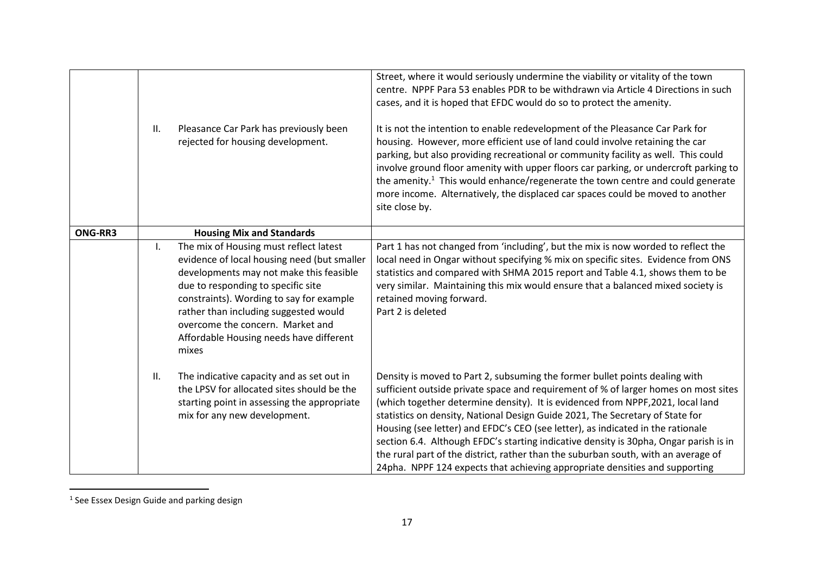|         | II.          | Pleasance Car Park has previously been<br>rejected for housing development.                                                                                                                                                                                                                                                                         | Street, where it would seriously undermine the viability or vitality of the town<br>centre. NPPF Para 53 enables PDR to be withdrawn via Article 4 Directions in such<br>cases, and it is hoped that EFDC would do so to protect the amenity.<br>It is not the intention to enable redevelopment of the Pleasance Car Park for<br>housing. However, more efficient use of land could involve retaining the car<br>parking, but also providing recreational or community facility as well. This could<br>involve ground floor amenity with upper floors car parking, or undercroft parking to<br>the amenity. <sup>1</sup> This would enhance/regenerate the town centre and could generate<br>more income. Alternatively, the displaced car spaces could be moved to another<br>site close by. |
|---------|--------------|-----------------------------------------------------------------------------------------------------------------------------------------------------------------------------------------------------------------------------------------------------------------------------------------------------------------------------------------------------|------------------------------------------------------------------------------------------------------------------------------------------------------------------------------------------------------------------------------------------------------------------------------------------------------------------------------------------------------------------------------------------------------------------------------------------------------------------------------------------------------------------------------------------------------------------------------------------------------------------------------------------------------------------------------------------------------------------------------------------------------------------------------------------------|
| ONG-RR3 |              | <b>Housing Mix and Standards</b>                                                                                                                                                                                                                                                                                                                    |                                                                                                                                                                                                                                                                                                                                                                                                                                                                                                                                                                                                                                                                                                                                                                                                |
|         | $\mathsf{L}$ | The mix of Housing must reflect latest<br>evidence of local housing need (but smaller<br>developments may not make this feasible<br>due to responding to specific site<br>constraints). Wording to say for example<br>rather than including suggested would<br>overcome the concern. Market and<br>Affordable Housing needs have different<br>mixes | Part 1 has not changed from 'including', but the mix is now worded to reflect the<br>local need in Ongar without specifying % mix on specific sites. Evidence from ONS<br>statistics and compared with SHMA 2015 report and Table 4.1, shows them to be<br>very similar. Maintaining this mix would ensure that a balanced mixed society is<br>retained moving forward.<br>Part 2 is deleted                                                                                                                                                                                                                                                                                                                                                                                                   |
|         | П.           | The indicative capacity and as set out in<br>the LPSV for allocated sites should be the<br>starting point in assessing the appropriate<br>mix for any new development.                                                                                                                                                                              | Density is moved to Part 2, subsuming the former bullet points dealing with<br>sufficient outside private space and requirement of % of larger homes on most sites<br>(which together determine density). It is evidenced from NPPF, 2021, local land<br>statistics on density, National Design Guide 2021, The Secretary of State for<br>Housing (see letter) and EFDC's CEO (see letter), as indicated in the rationale<br>section 6.4. Although EFDC's starting indicative density is 30pha, Ongar parish is in<br>the rural part of the district, rather than the suburban south, with an average of<br>24pha. NPPF 124 expects that achieving appropriate densities and supporting                                                                                                        |

<sup>&</sup>lt;sup>1</sup> See Essex Design Guide and parking design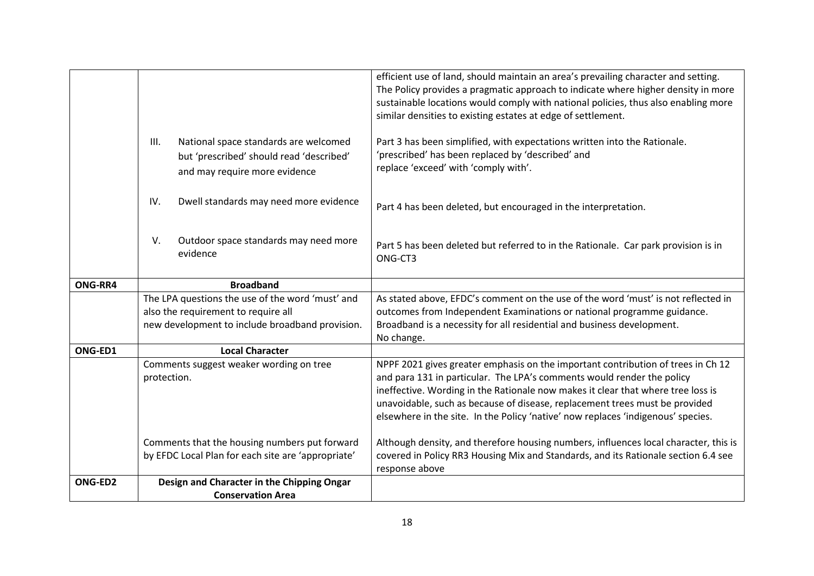|         |                                                                                                                            | efficient use of land, should maintain an area's prevailing character and setting.<br>The Policy provides a pragmatic approach to indicate where higher density in more<br>sustainable locations would comply with national policies, thus also enabling more<br>similar densities to existing estates at edge of settlement. |
|---------|----------------------------------------------------------------------------------------------------------------------------|-------------------------------------------------------------------------------------------------------------------------------------------------------------------------------------------------------------------------------------------------------------------------------------------------------------------------------|
|         | III.<br>National space standards are welcomed<br>but 'prescribed' should read 'described'<br>and may require more evidence | Part 3 has been simplified, with expectations written into the Rationale.<br>'prescribed' has been replaced by 'described' and<br>replace 'exceed' with 'comply with'.                                                                                                                                                        |
|         | Dwell standards may need more evidence<br>IV.                                                                              | Part 4 has been deleted, but encouraged in the interpretation.                                                                                                                                                                                                                                                                |
|         | V.<br>Outdoor space standards may need more<br>evidence                                                                    | Part 5 has been deleted but referred to in the Rationale. Car park provision is in<br>ONG-CT3                                                                                                                                                                                                                                 |
| ONG-RR4 | <b>Broadband</b>                                                                                                           |                                                                                                                                                                                                                                                                                                                               |
|         | The LPA questions the use of the word 'must' and                                                                           | As stated above, EFDC's comment on the use of the word 'must' is not reflected in                                                                                                                                                                                                                                             |
|         | also the requirement to require all                                                                                        | outcomes from Independent Examinations or national programme guidance.                                                                                                                                                                                                                                                        |
|         | new development to include broadband provision.                                                                            | Broadband is a necessity for all residential and business development.                                                                                                                                                                                                                                                        |
|         |                                                                                                                            | No change.                                                                                                                                                                                                                                                                                                                    |
| ONG-ED1 | <b>Local Character</b>                                                                                                     |                                                                                                                                                                                                                                                                                                                               |
|         | Comments suggest weaker wording on tree                                                                                    | NPPF 2021 gives greater emphasis on the important contribution of trees in Ch 12                                                                                                                                                                                                                                              |
|         | protection.                                                                                                                | and para 131 in particular. The LPA's comments would render the policy<br>ineffective. Wording in the Rationale now makes it clear that where tree loss is                                                                                                                                                                    |
|         |                                                                                                                            | unavoidable, such as because of disease, replacement trees must be provided                                                                                                                                                                                                                                                   |
|         |                                                                                                                            | elsewhere in the site. In the Policy 'native' now replaces 'indigenous' species.                                                                                                                                                                                                                                              |
|         |                                                                                                                            |                                                                                                                                                                                                                                                                                                                               |
|         | Comments that the housing numbers put forward                                                                              | Although density, and therefore housing numbers, influences local character, this is                                                                                                                                                                                                                                          |
|         | by EFDC Local Plan for each site are 'appropriate'                                                                         | covered in Policy RR3 Housing Mix and Standards, and its Rationale section 6.4 see<br>response above                                                                                                                                                                                                                          |
| ONG-ED2 | Design and Character in the Chipping Ongar                                                                                 |                                                                                                                                                                                                                                                                                                                               |
|         | <b>Conservation Area</b>                                                                                                   |                                                                                                                                                                                                                                                                                                                               |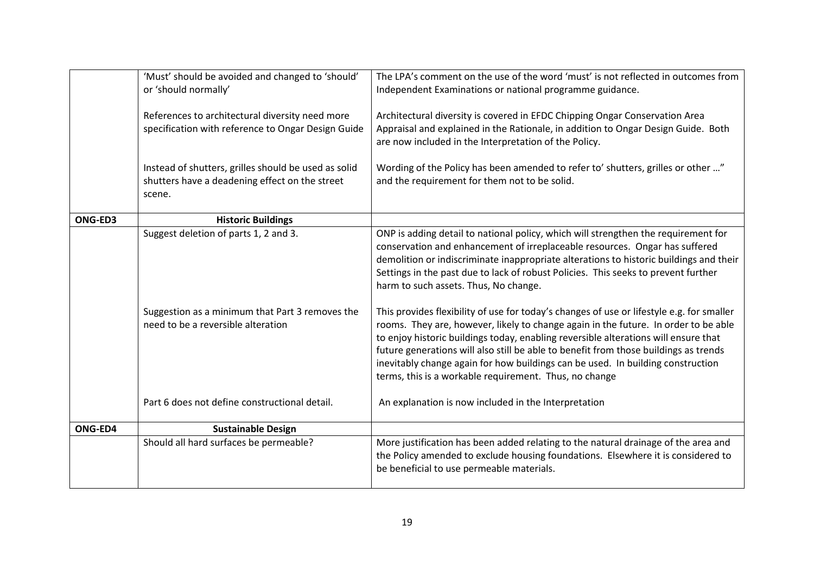|         | 'Must' should be avoided and changed to 'should'<br>or 'should normally'                                         | The LPA's comment on the use of the word 'must' is not reflected in outcomes from<br>Independent Examinations or national programme guidance.                                                                                                                                                                                                                                                                                                                                                                |
|---------|------------------------------------------------------------------------------------------------------------------|--------------------------------------------------------------------------------------------------------------------------------------------------------------------------------------------------------------------------------------------------------------------------------------------------------------------------------------------------------------------------------------------------------------------------------------------------------------------------------------------------------------|
|         | References to architectural diversity need more<br>specification with reference to Ongar Design Guide            | Architectural diversity is covered in EFDC Chipping Ongar Conservation Area<br>Appraisal and explained in the Rationale, in addition to Ongar Design Guide. Both<br>are now included in the Interpretation of the Policy.                                                                                                                                                                                                                                                                                    |
|         | Instead of shutters, grilles should be used as solid<br>shutters have a deadening effect on the street<br>scene. | Wording of the Policy has been amended to refer to' shutters, grilles or other "<br>and the requirement for them not to be solid.                                                                                                                                                                                                                                                                                                                                                                            |
| ONG-ED3 | <b>Historic Buildings</b>                                                                                        |                                                                                                                                                                                                                                                                                                                                                                                                                                                                                                              |
|         | Suggest deletion of parts 1, 2 and 3.                                                                            | ONP is adding detail to national policy, which will strengthen the requirement for<br>conservation and enhancement of irreplaceable resources. Ongar has suffered<br>demolition or indiscriminate inappropriate alterations to historic buildings and their<br>Settings in the past due to lack of robust Policies. This seeks to prevent further<br>harm to such assets. Thus, No change.                                                                                                                   |
|         | Suggestion as a minimum that Part 3 removes the<br>need to be a reversible alteration                            | This provides flexibility of use for today's changes of use or lifestyle e.g. for smaller<br>rooms. They are, however, likely to change again in the future. In order to be able<br>to enjoy historic buildings today, enabling reversible alterations will ensure that<br>future generations will also still be able to benefit from those buildings as trends<br>inevitably change again for how buildings can be used. In building construction<br>terms, this is a workable requirement. Thus, no change |
|         | Part 6 does not define constructional detail.                                                                    | An explanation is now included in the Interpretation                                                                                                                                                                                                                                                                                                                                                                                                                                                         |
| ONG-ED4 | <b>Sustainable Design</b>                                                                                        |                                                                                                                                                                                                                                                                                                                                                                                                                                                                                                              |
|         | Should all hard surfaces be permeable?                                                                           | More justification has been added relating to the natural drainage of the area and<br>the Policy amended to exclude housing foundations. Elsewhere it is considered to<br>be beneficial to use permeable materials.                                                                                                                                                                                                                                                                                          |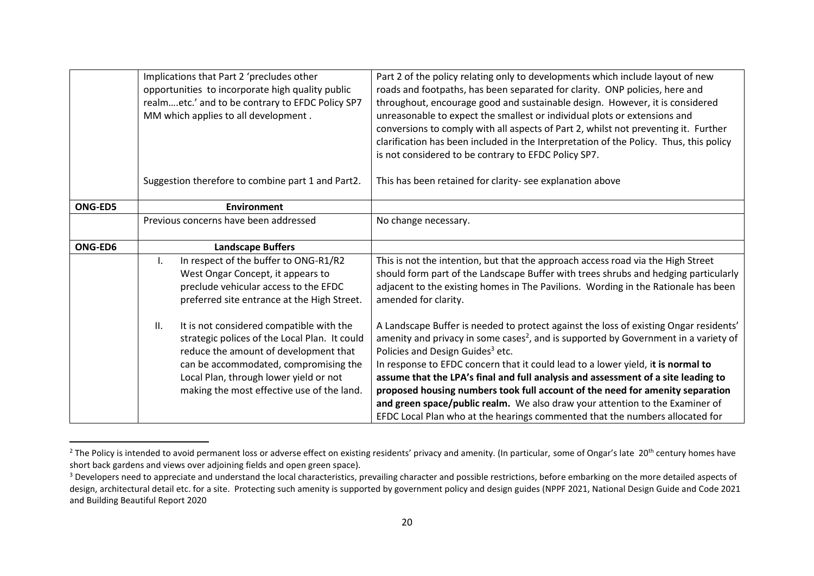|                | Implications that Part 2 'precludes other<br>opportunities to incorporate high quality public<br>realmetc.' and to be contrary to EFDC Policy SP7<br>MM which applies to all development.                                                                                  | Part 2 of the policy relating only to developments which include layout of new<br>roads and footpaths, has been separated for clarity. ONP policies, here and<br>throughout, encourage good and sustainable design. However, it is considered<br>unreasonable to expect the smallest or individual plots or extensions and<br>conversions to comply with all aspects of Part 2, whilst not preventing it. Further                                                                                                                                                                                                                                                  |
|----------------|----------------------------------------------------------------------------------------------------------------------------------------------------------------------------------------------------------------------------------------------------------------------------|--------------------------------------------------------------------------------------------------------------------------------------------------------------------------------------------------------------------------------------------------------------------------------------------------------------------------------------------------------------------------------------------------------------------------------------------------------------------------------------------------------------------------------------------------------------------------------------------------------------------------------------------------------------------|
|                |                                                                                                                                                                                                                                                                            | clarification has been included in the Interpretation of the Policy. Thus, this policy<br>is not considered to be contrary to EFDC Policy SP7.                                                                                                                                                                                                                                                                                                                                                                                                                                                                                                                     |
|                | Suggestion therefore to combine part 1 and Part2.                                                                                                                                                                                                                          | This has been retained for clarity- see explanation above                                                                                                                                                                                                                                                                                                                                                                                                                                                                                                                                                                                                          |
| <b>ONG-ED5</b> | <b>Environment</b>                                                                                                                                                                                                                                                         |                                                                                                                                                                                                                                                                                                                                                                                                                                                                                                                                                                                                                                                                    |
|                | Previous concerns have been addressed                                                                                                                                                                                                                                      | No change necessary.                                                                                                                                                                                                                                                                                                                                                                                                                                                                                                                                                                                                                                               |
| ONG-ED6        | <b>Landscape Buffers</b>                                                                                                                                                                                                                                                   |                                                                                                                                                                                                                                                                                                                                                                                                                                                                                                                                                                                                                                                                    |
|                | In respect of the buffer to ONG-R1/R2<br>ı.<br>West Ongar Concept, it appears to<br>preclude vehicular access to the EFDC<br>preferred site entrance at the High Street.                                                                                                   | This is not the intention, but that the approach access road via the High Street<br>should form part of the Landscape Buffer with trees shrubs and hedging particularly<br>adjacent to the existing homes in The Pavilions. Wording in the Rationale has been<br>amended for clarity.                                                                                                                                                                                                                                                                                                                                                                              |
|                | It is not considered compatible with the<br>II.<br>strategic polices of the Local Plan. It could<br>reduce the amount of development that<br>can be accommodated, compromising the<br>Local Plan, through lower yield or not<br>making the most effective use of the land. | A Landscape Buffer is needed to protect against the loss of existing Ongar residents'<br>amenity and privacy in some cases <sup>2</sup> , and is supported by Government in a variety of<br>Policies and Design Guides <sup>3</sup> etc.<br>In response to EFDC concern that it could lead to a lower yield, it is normal to<br>assume that the LPA's final and full analysis and assessment of a site leading to<br>proposed housing numbers took full account of the need for amenity separation<br>and green space/public realm. We also draw your attention to the Examiner of<br>EFDC Local Plan who at the hearings commented that the numbers allocated for |

<sup>&</sup>lt;sup>2</sup> The Policy is intended to avoid permanent loss or adverse effect on existing residents' privacy and amenity. (In particular, some of Ongar's late 20<sup>th</sup> century homes have short back gardens and views over adjoining fields and open green space).

<sup>&</sup>lt;sup>3</sup> Developers need to appreciate and understand the local characteristics, prevailing character and possible restrictions, before embarking on the more detailed aspects of design, architectural detail etc. for a site. Protecting such amenity is supported by government policy and design guides (NPPF 2021, National Design Guide and Code 2021 and Building Beautiful Report 2020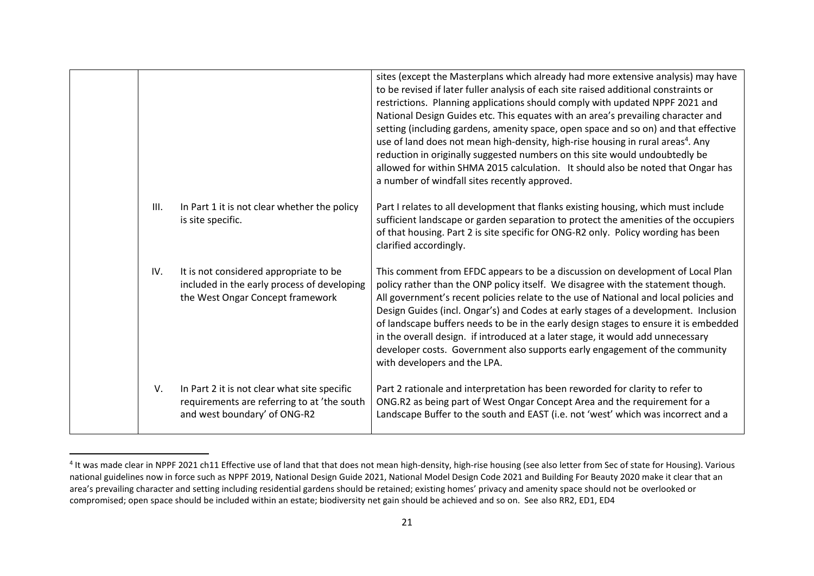|      |                                                                                                                             | sites (except the Masterplans which already had more extensive analysis) may have<br>to be revised if later fuller analysis of each site raised additional constraints or<br>restrictions. Planning applications should comply with updated NPPF 2021 and<br>National Design Guides etc. This equates with an area's prevailing character and<br>setting (including gardens, amenity space, open space and so on) and that effective<br>use of land does not mean high-density, high-rise housing in rural areas <sup>4</sup> . Any<br>reduction in originally suggested numbers on this site would undoubtedly be<br>allowed for within SHMA 2015 calculation. It should also be noted that Ongar has<br>a number of windfall sites recently approved. |
|------|-----------------------------------------------------------------------------------------------------------------------------|---------------------------------------------------------------------------------------------------------------------------------------------------------------------------------------------------------------------------------------------------------------------------------------------------------------------------------------------------------------------------------------------------------------------------------------------------------------------------------------------------------------------------------------------------------------------------------------------------------------------------------------------------------------------------------------------------------------------------------------------------------|
| III. | In Part 1 it is not clear whether the policy<br>is site specific.                                                           | Part I relates to all development that flanks existing housing, which must include<br>sufficient landscape or garden separation to protect the amenities of the occupiers<br>of that housing. Part 2 is site specific for ONG-R2 only. Policy wording has been<br>clarified accordingly.                                                                                                                                                                                                                                                                                                                                                                                                                                                                |
| IV.  | It is not considered appropriate to be<br>included in the early process of developing<br>the West Ongar Concept framework   | This comment from EFDC appears to be a discussion on development of Local Plan<br>policy rather than the ONP policy itself. We disagree with the statement though.<br>All government's recent policies relate to the use of National and local policies and<br>Design Guides (incl. Ongar's) and Codes at early stages of a development. Inclusion<br>of landscape buffers needs to be in the early design stages to ensure it is embedded<br>in the overall design. if introduced at a later stage, it would add unnecessary<br>developer costs. Government also supports early engagement of the community<br>with developers and the LPA.                                                                                                            |
| V.   | In Part 2 it is not clear what site specific<br>requirements are referring to at 'the south<br>and west boundary' of ONG-R2 | Part 2 rationale and interpretation has been reworded for clarity to refer to<br>ONG.R2 as being part of West Ongar Concept Area and the requirement for a<br>Landscape Buffer to the south and EAST (i.e. not 'west' which was incorrect and a                                                                                                                                                                                                                                                                                                                                                                                                                                                                                                         |

<sup>&</sup>lt;sup>4</sup> It was made clear in NPPF 2021 ch11 Effective use of land that that does not mean high-density, high-rise housing (see also letter from Sec of state for Housing). Various national guidelines now in force such as NPPF 2019, National Design Guide 2021, National Model Design Code 2021 and Building For Beauty 2020 make it clear that an area's prevailing character and setting including residential gardens should be retained; existing homes' privacy and amenity space should not be overlooked or compromised; open space should be included within an estate; biodiversity net gain should be achieved and so on. See also RR2, ED1, ED4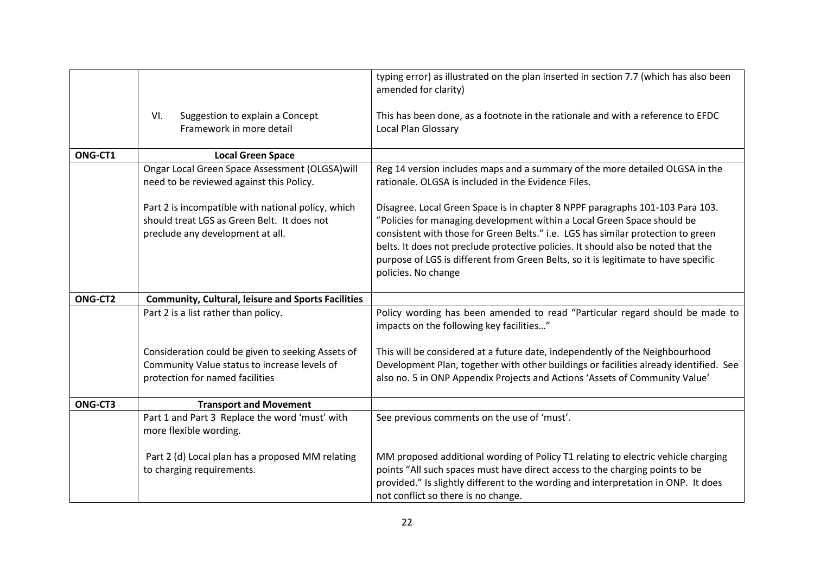|         |                                                                                                                                       | typing error) as illustrated on the plan inserted in section 7.7 (which has also been<br>amended for clarity)                                                                                                                                                                                                                                                                                                                                  |
|---------|---------------------------------------------------------------------------------------------------------------------------------------|------------------------------------------------------------------------------------------------------------------------------------------------------------------------------------------------------------------------------------------------------------------------------------------------------------------------------------------------------------------------------------------------------------------------------------------------|
|         | Suggestion to explain a Concept<br>VI.                                                                                                | This has been done, as a footnote in the rationale and with a reference to EFDC                                                                                                                                                                                                                                                                                                                                                                |
|         | Framework in more detail                                                                                                              | Local Plan Glossary                                                                                                                                                                                                                                                                                                                                                                                                                            |
|         |                                                                                                                                       |                                                                                                                                                                                                                                                                                                                                                                                                                                                |
| ONG-CT1 | <b>Local Green Space</b>                                                                                                              |                                                                                                                                                                                                                                                                                                                                                                                                                                                |
|         | Ongar Local Green Space Assessment (OLGSA) will                                                                                       | Reg 14 version includes maps and a summary of the more detailed OLGSA in the                                                                                                                                                                                                                                                                                                                                                                   |
|         | need to be reviewed against this Policy.                                                                                              | rationale. OLGSA is included in the Evidence Files.                                                                                                                                                                                                                                                                                                                                                                                            |
|         | Part 2 is incompatible with national policy, which<br>should treat LGS as Green Belt. It does not<br>preclude any development at all. | Disagree. Local Green Space is in chapter 8 NPPF paragraphs 101-103 Para 103.<br>"Policies for managing development within a Local Green Space should be<br>consistent with those for Green Belts." i.e. LGS has similar protection to green<br>belts. It does not preclude protective policies. It should also be noted that the<br>purpose of LGS is different from Green Belts, so it is legitimate to have specific<br>policies. No change |
| ONG-CT2 | <b>Community, Cultural, leisure and Sports Facilities</b>                                                                             |                                                                                                                                                                                                                                                                                                                                                                                                                                                |
|         | Part 2 is a list rather than policy.                                                                                                  | Policy wording has been amended to read "Particular regard should be made to<br>impacts on the following key facilities"                                                                                                                                                                                                                                                                                                                       |
|         | Consideration could be given to seeking Assets of                                                                                     | This will be considered at a future date, independently of the Neighbourhood                                                                                                                                                                                                                                                                                                                                                                   |
|         | Community Value status to increase levels of                                                                                          | Development Plan, together with other buildings or facilities already identified. See                                                                                                                                                                                                                                                                                                                                                          |
|         | protection for named facilities                                                                                                       | also no. 5 in ONP Appendix Projects and Actions 'Assets of Community Value'                                                                                                                                                                                                                                                                                                                                                                    |
| ONG-CT3 | <b>Transport and Movement</b>                                                                                                         |                                                                                                                                                                                                                                                                                                                                                                                                                                                |
|         | Part 1 and Part 3 Replace the word 'must' with<br>more flexible wording.                                                              | See previous comments on the use of 'must'.                                                                                                                                                                                                                                                                                                                                                                                                    |
|         | Part 2 (d) Local plan has a proposed MM relating                                                                                      | MM proposed additional wording of Policy T1 relating to electric vehicle charging                                                                                                                                                                                                                                                                                                                                                              |
|         | to charging requirements.                                                                                                             | points "All such spaces must have direct access to the charging points to be                                                                                                                                                                                                                                                                                                                                                                   |
|         |                                                                                                                                       | provided." Is slightly different to the wording and interpretation in ONP. It does                                                                                                                                                                                                                                                                                                                                                             |
|         |                                                                                                                                       | not conflict so there is no change.                                                                                                                                                                                                                                                                                                                                                                                                            |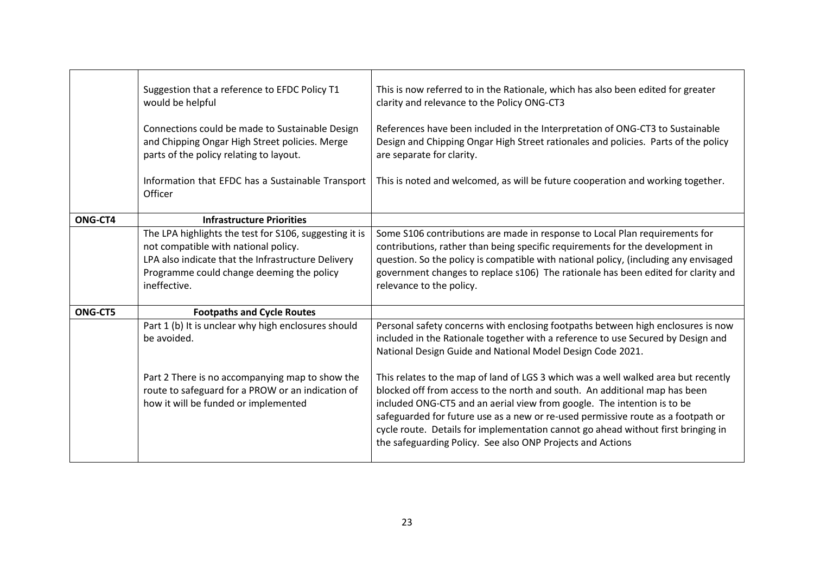|                | Suggestion that a reference to EFDC Policy T1<br>would be helpful<br>Connections could be made to Sustainable Design<br>and Chipping Ongar High Street policies. Merge<br>parts of the policy relating to layout.<br>Information that EFDC has a Sustainable Transport<br><b>Officer</b> | This is now referred to in the Rationale, which has also been edited for greater<br>clarity and relevance to the Policy ONG-CT3<br>References have been included in the Interpretation of ONG-CT3 to Sustainable<br>Design and Chipping Ongar High Street rationales and policies. Parts of the policy<br>are separate for clarity.<br>This is noted and welcomed, as will be future cooperation and working together.                                                                                                                                                                                                                                     |
|----------------|------------------------------------------------------------------------------------------------------------------------------------------------------------------------------------------------------------------------------------------------------------------------------------------|------------------------------------------------------------------------------------------------------------------------------------------------------------------------------------------------------------------------------------------------------------------------------------------------------------------------------------------------------------------------------------------------------------------------------------------------------------------------------------------------------------------------------------------------------------------------------------------------------------------------------------------------------------|
| ONG-CT4        | <b>Infrastructure Priorities</b>                                                                                                                                                                                                                                                         |                                                                                                                                                                                                                                                                                                                                                                                                                                                                                                                                                                                                                                                            |
|                | The LPA highlights the test for S106, suggesting it is<br>not compatible with national policy.<br>LPA also indicate that the Infrastructure Delivery<br>Programme could change deeming the policy<br>ineffective.                                                                        | Some S106 contributions are made in response to Local Plan requirements for<br>contributions, rather than being specific requirements for the development in<br>question. So the policy is compatible with national policy, (including any envisaged<br>government changes to replace s106) The rationale has been edited for clarity and<br>relevance to the policy.                                                                                                                                                                                                                                                                                      |
| <b>ONG-CT5</b> | <b>Footpaths and Cycle Routes</b>                                                                                                                                                                                                                                                        |                                                                                                                                                                                                                                                                                                                                                                                                                                                                                                                                                                                                                                                            |
|                | Part 1 (b) It is unclear why high enclosures should<br>be avoided.<br>Part 2 There is no accompanying map to show the<br>route to safeguard for a PROW or an indication of<br>how it will be funded or implemented                                                                       | Personal safety concerns with enclosing footpaths between high enclosures is now<br>included in the Rationale together with a reference to use Secured by Design and<br>National Design Guide and National Model Design Code 2021.<br>This relates to the map of land of LGS 3 which was a well walked area but recently<br>blocked off from access to the north and south. An additional map has been<br>included ONG-CT5 and an aerial view from google. The intention is to be<br>safeguarded for future use as a new or re-used permissive route as a footpath or<br>cycle route. Details for implementation cannot go ahead without first bringing in |
|                |                                                                                                                                                                                                                                                                                          | the safeguarding Policy. See also ONP Projects and Actions                                                                                                                                                                                                                                                                                                                                                                                                                                                                                                                                                                                                 |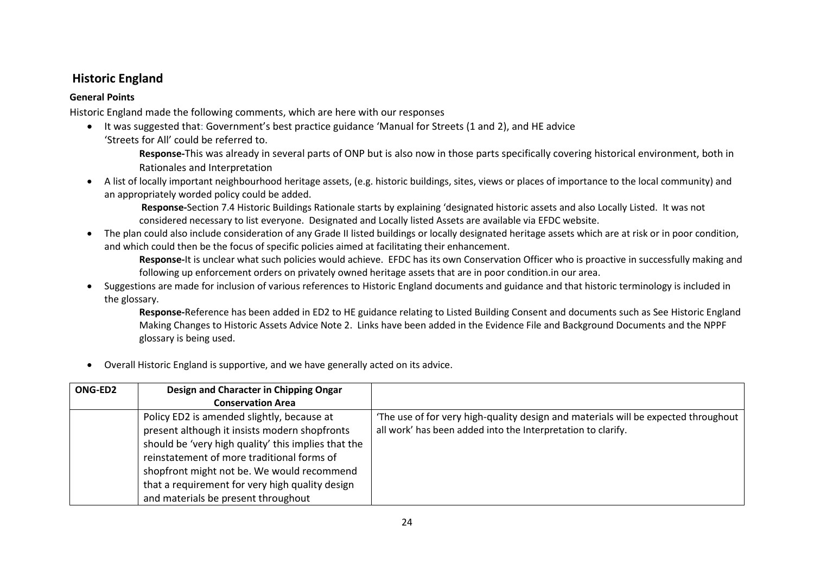#### **Historic England**

#### **General Points**

Historic England made the following comments, which are here with our responses

- It was suggested that: Government's best practice guidance 'Manual for Streets (1 and 2), and HE advice 'Streets for All' could be referred to.
	- **Response-**This was already in several parts of ONP but is also now in those parts specifically covering historical environment, both in Rationales and Interpretation
- A list of locally important neighbourhood heritage assets, (e.g. historic buildings, sites, views or places of importance to the local community) and an appropriately worded policy could be added.

**Response-**Section 7.4 Historic Buildings Rationale starts by explaining 'designated historic assets and also Locally Listed. It was not considered necessary to list everyone. Designated and Locally listed Assets are available via EFDC website.

• The plan could also include consideration of any Grade II listed buildings or locally designated heritage assets which are at risk or in poor condition, and which could then be the focus of specific policies aimed at facilitating their enhancement.

**Response-**It is unclear what such policies would achieve. EFDC has its own Conservation Officer who is proactive in successfully making and following up enforcement orders on privately owned heritage assets that are in poor condition.in our area.

• Suggestions are made for inclusion of various references to Historic England documents and guidance and that historic terminology is included in the glossary.

**Response-**Reference has been added in ED2 to HE guidance relating to Listed Building Consent and documents such as See Historic England Making Changes to Historic Assets Advice Note 2. Links have been added in the Evidence File and Background Documents and the NPPF glossary is being used.

• Overall Historic England is supportive, and we have generally acted on its advice.

| ONG-ED2 | Design and Character in Chipping Ongar                                                                                                                                                           |                                                                                                                                                      |
|---------|--------------------------------------------------------------------------------------------------------------------------------------------------------------------------------------------------|------------------------------------------------------------------------------------------------------------------------------------------------------|
|         | <b>Conservation Area</b>                                                                                                                                                                         |                                                                                                                                                      |
|         | Policy ED2 is amended slightly, because at<br>present although it insists modern shopfronts<br>should be 'very high quality' this implies that the<br>reinstatement of more traditional forms of | 'The use of for very high-quality design and materials will be expected throughout  <br>all work' has been added into the Interpretation to clarify. |
|         | shopfront might not be. We would recommend                                                                                                                                                       |                                                                                                                                                      |
|         | that a requirement for very high quality design                                                                                                                                                  |                                                                                                                                                      |
|         | and materials be present throughout                                                                                                                                                              |                                                                                                                                                      |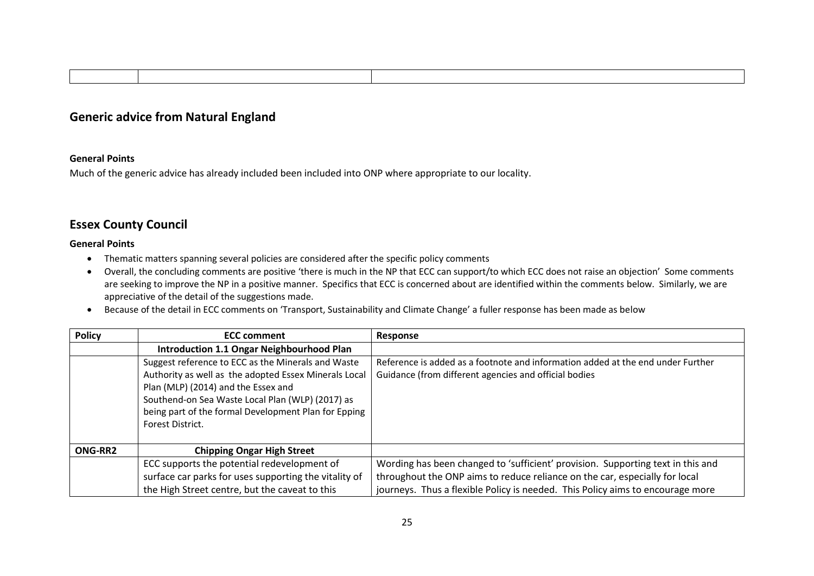#### **Generic advice from Natural England**

#### **General Points**

Much of the generic advice has already included been included into ONP where appropriate to our locality.

#### **Essex County Council**

#### **General Points**

- Thematic matters spanning several policies are considered after the specific policy comments
- Overall, the concluding comments are positive 'there is much in the NP that ECC can support/to which ECC does not raise an objection' Some comments are seeking to improve the NP in a positive manner. Specifics that ECC is concerned about are identified within the comments below. Similarly, we are appreciative of the detail of the suggestions made.
- Because of the detail in ECC comments on 'Transport, Sustainability and Climate Change' a fuller response has been made as below

| <b>Policy</b>  | <b>ECC comment</b>                                                                                                                                                                                                                                             | Response                                                                                                                                 |
|----------------|----------------------------------------------------------------------------------------------------------------------------------------------------------------------------------------------------------------------------------------------------------------|------------------------------------------------------------------------------------------------------------------------------------------|
|                | <b>Introduction 1.1 Ongar Neighbourhood Plan</b>                                                                                                                                                                                                               |                                                                                                                                          |
|                | Suggest reference to ECC as the Minerals and Waste<br>Authority as well as the adopted Essex Minerals Local<br>Plan (MLP) (2014) and the Essex and<br>Southend-on Sea Waste Local Plan (WLP) (2017) as<br>being part of the formal Development Plan for Epping | Reference is added as a footnote and information added at the end under Further<br>Guidance (from different agencies and official bodies |
|                | Forest District.                                                                                                                                                                                                                                               |                                                                                                                                          |
| <b>ONG-RR2</b> | <b>Chipping Ongar High Street</b>                                                                                                                                                                                                                              |                                                                                                                                          |
|                | ECC supports the potential redevelopment of                                                                                                                                                                                                                    | Wording has been changed to 'sufficient' provision. Supporting text in this and                                                          |
|                | surface car parks for uses supporting the vitality of                                                                                                                                                                                                          | throughout the ONP aims to reduce reliance on the car, especially for local                                                              |
|                | the High Street centre, but the caveat to this                                                                                                                                                                                                                 | journeys. Thus a flexible Policy is needed. This Policy aims to encourage more                                                           |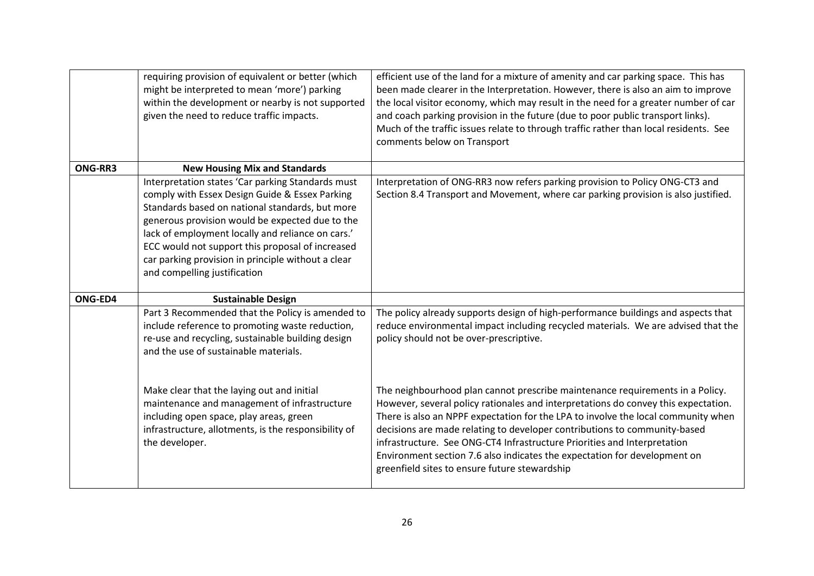|         | requiring provision of equivalent or better (which<br>might be interpreted to mean 'more') parking<br>within the development or nearby is not supported<br>given the need to reduce traffic impacts.                                                                                                                                                                                                     | efficient use of the land for a mixture of amenity and car parking space. This has<br>been made clearer in the Interpretation. However, there is also an aim to improve<br>the local visitor economy, which may result in the need for a greater number of car<br>and coach parking provision in the future (due to poor public transport links).<br>Much of the traffic issues relate to through traffic rather than local residents. See<br>comments below on Transport                                                                       |
|---------|----------------------------------------------------------------------------------------------------------------------------------------------------------------------------------------------------------------------------------------------------------------------------------------------------------------------------------------------------------------------------------------------------------|-------------------------------------------------------------------------------------------------------------------------------------------------------------------------------------------------------------------------------------------------------------------------------------------------------------------------------------------------------------------------------------------------------------------------------------------------------------------------------------------------------------------------------------------------|
| ONG-RR3 | <b>New Housing Mix and Standards</b>                                                                                                                                                                                                                                                                                                                                                                     |                                                                                                                                                                                                                                                                                                                                                                                                                                                                                                                                                 |
|         | Interpretation states 'Car parking Standards must<br>comply with Essex Design Guide & Essex Parking<br>Standards based on national standards, but more<br>generous provision would be expected due to the<br>lack of employment locally and reliance on cars.'<br>ECC would not support this proposal of increased<br>car parking provision in principle without a clear<br>and compelling justification | Interpretation of ONG-RR3 now refers parking provision to Policy ONG-CT3 and<br>Section 8.4 Transport and Movement, where car parking provision is also justified.                                                                                                                                                                                                                                                                                                                                                                              |
| ONG-ED4 | <b>Sustainable Design</b>                                                                                                                                                                                                                                                                                                                                                                                |                                                                                                                                                                                                                                                                                                                                                                                                                                                                                                                                                 |
|         | Part 3 Recommended that the Policy is amended to<br>include reference to promoting waste reduction,<br>re-use and recycling, sustainable building design<br>and the use of sustainable materials.                                                                                                                                                                                                        | The policy already supports design of high-performance buildings and aspects that<br>reduce environmental impact including recycled materials. We are advised that the<br>policy should not be over-prescriptive.                                                                                                                                                                                                                                                                                                                               |
|         | Make clear that the laying out and initial<br>maintenance and management of infrastructure<br>including open space, play areas, green<br>infrastructure, allotments, is the responsibility of<br>the developer.                                                                                                                                                                                          | The neighbourhood plan cannot prescribe maintenance requirements in a Policy.<br>However, several policy rationales and interpretations do convey this expectation.<br>There is also an NPPF expectation for the LPA to involve the local community when<br>decisions are made relating to developer contributions to community-based<br>infrastructure. See ONG-CT4 Infrastructure Priorities and Interpretation<br>Environment section 7.6 also indicates the expectation for development on<br>greenfield sites to ensure future stewardship |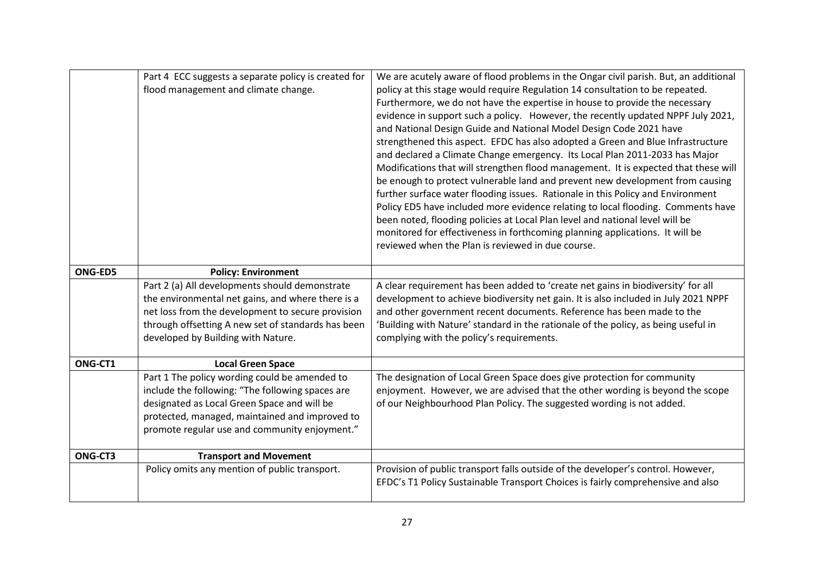|                | Part 4 ECC suggests a separate policy is created for                                          | We are acutely aware of flood problems in the Ongar civil parish. But, an additional                                              |
|----------------|-----------------------------------------------------------------------------------------------|-----------------------------------------------------------------------------------------------------------------------------------|
|                | flood management and climate change.                                                          | policy at this stage would require Regulation 14 consultation to be repeated.                                                     |
|                |                                                                                               | Furthermore, we do not have the expertise in house to provide the necessary                                                       |
|                |                                                                                               | evidence in support such a policy. However, the recently updated NPPF July 2021,                                                  |
|                |                                                                                               | and National Design Guide and National Model Design Code 2021 have                                                                |
|                |                                                                                               | strengthened this aspect. EFDC has also adopted a Green and Blue Infrastructure                                                   |
|                |                                                                                               | and declared a Climate Change emergency. Its Local Plan 2011-2033 has Major                                                       |
|                |                                                                                               | Modifications that will strengthen flood management. It is expected that these will                                               |
|                |                                                                                               | be enough to protect vulnerable land and prevent new development from causing                                                     |
|                |                                                                                               | further surface water flooding issues. Rationale in this Policy and Environment                                                   |
|                |                                                                                               | Policy ED5 have included more evidence relating to local flooding. Comments have                                                  |
|                |                                                                                               | been noted, flooding policies at Local Plan level and national level will be                                                      |
|                |                                                                                               | monitored for effectiveness in forthcoming planning applications. It will be<br>reviewed when the Plan is reviewed in due course. |
|                |                                                                                               |                                                                                                                                   |
| <b>ONG-ED5</b> | <b>Policy: Environment</b>                                                                    |                                                                                                                                   |
|                | Part 2 (a) All developments should demonstrate                                                | A clear requirement has been added to 'create net gains in biodiversity' for all                                                  |
|                | the environmental net gains, and where there is a                                             | development to achieve biodiversity net gain. It is also included in July 2021 NPPF                                               |
|                | net loss from the development to secure provision                                             | and other government recent documents. Reference has been made to the                                                             |
|                | through offsetting A new set of standards has been                                            | 'Building with Nature' standard in the rationale of the policy, as being useful in                                                |
|                | developed by Building with Nature.                                                            | complying with the policy's requirements.                                                                                         |
|                |                                                                                               |                                                                                                                                   |
| ONG-CT1        | <b>Local Green Space</b>                                                                      |                                                                                                                                   |
|                | Part 1 The policy wording could be amended to                                                 | The designation of Local Green Space does give protection for community                                                           |
|                | include the following: "The following spaces are                                              | enjoyment. However, we are advised that the other wording is beyond the scope                                                     |
|                | designated as Local Green Space and will be<br>protected, managed, maintained and improved to | of our Neighbourhood Plan Policy. The suggested wording is not added.                                                             |
|                | promote regular use and community enjoyment."                                                 |                                                                                                                                   |
|                |                                                                                               |                                                                                                                                   |
| ONG-CT3        | <b>Transport and Movement</b>                                                                 |                                                                                                                                   |
|                | Policy omits any mention of public transport.                                                 | Provision of public transport falls outside of the developer's control. However,                                                  |
|                |                                                                                               | EFDC's T1 Policy Sustainable Transport Choices is fairly comprehensive and also                                                   |
|                |                                                                                               |                                                                                                                                   |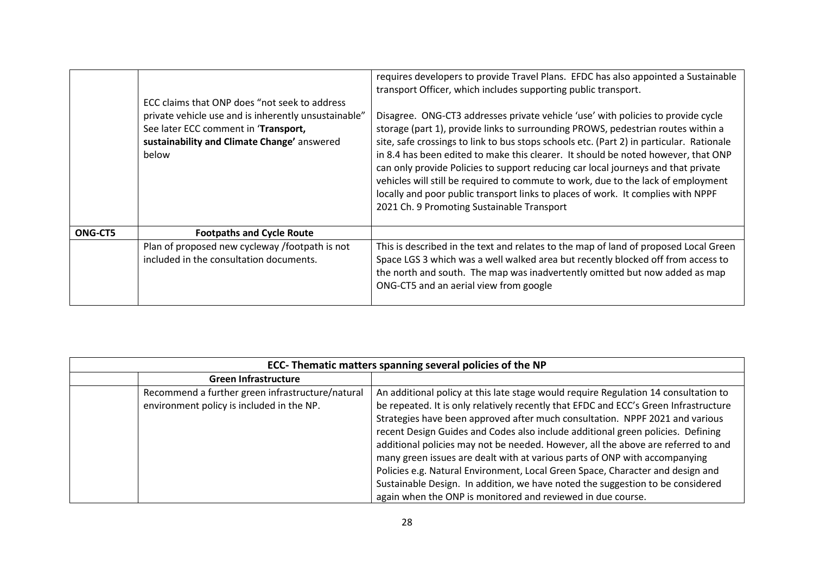|         | ECC claims that ONP does "not seek to address<br>private vehicle use and is inherently unsustainable"<br>See later ECC comment in 'Transport,<br>sustainability and Climate Change' answered<br>below | requires developers to provide Travel Plans. EFDC has also appointed a Sustainable<br>transport Officer, which includes supporting public transport.<br>Disagree. ONG-CT3 addresses private vehicle 'use' with policies to provide cycle<br>storage (part 1), provide links to surrounding PROWS, pedestrian routes within a<br>site, safe crossings to link to bus stops schools etc. (Part 2) in particular. Rationale<br>in 8.4 has been edited to make this clearer. It should be noted however, that ONP<br>can only provide Policies to support reducing car local journeys and that private<br>vehicles will still be required to commute to work, due to the lack of employment<br>locally and poor public transport links to places of work. It complies with NPPF<br>2021 Ch. 9 Promoting Sustainable Transport |
|---------|-------------------------------------------------------------------------------------------------------------------------------------------------------------------------------------------------------|---------------------------------------------------------------------------------------------------------------------------------------------------------------------------------------------------------------------------------------------------------------------------------------------------------------------------------------------------------------------------------------------------------------------------------------------------------------------------------------------------------------------------------------------------------------------------------------------------------------------------------------------------------------------------------------------------------------------------------------------------------------------------------------------------------------------------|
| ONG-CT5 | <b>Footpaths and Cycle Route</b>                                                                                                                                                                      |                                                                                                                                                                                                                                                                                                                                                                                                                                                                                                                                                                                                                                                                                                                                                                                                                           |
|         | Plan of proposed new cycleway /footpath is not<br>included in the consultation documents.                                                                                                             | This is described in the text and relates to the map of land of proposed Local Green<br>Space LGS 3 which was a well walked area but recently blocked off from access to<br>the north and south. The map was inadvertently omitted but now added as map<br>ONG-CT5 and an aerial view from google                                                                                                                                                                                                                                                                                                                                                                                                                                                                                                                         |

| ECC- Thematic matters spanning several policies of the NP |                                                                                               |                                                                                                                                                                                                                                                                                                                                                                                                                                                                                                                                                                                                                                                                                                                                                      |
|-----------------------------------------------------------|-----------------------------------------------------------------------------------------------|------------------------------------------------------------------------------------------------------------------------------------------------------------------------------------------------------------------------------------------------------------------------------------------------------------------------------------------------------------------------------------------------------------------------------------------------------------------------------------------------------------------------------------------------------------------------------------------------------------------------------------------------------------------------------------------------------------------------------------------------------|
|                                                           | <b>Green Infrastructure</b>                                                                   |                                                                                                                                                                                                                                                                                                                                                                                                                                                                                                                                                                                                                                                                                                                                                      |
|                                                           | Recommend a further green infrastructure/natural<br>environment policy is included in the NP. | An additional policy at this late stage would require Regulation 14 consultation to<br>be repeated. It is only relatively recently that EFDC and ECC's Green Infrastructure<br>Strategies have been approved after much consultation. NPPF 2021 and various<br>recent Design Guides and Codes also include additional green policies. Defining<br>additional policies may not be needed. However, all the above are referred to and<br>many green issues are dealt with at various parts of ONP with accompanying<br>Policies e.g. Natural Environment, Local Green Space, Character and design and<br>Sustainable Design. In addition, we have noted the suggestion to be considered<br>again when the ONP is monitored and reviewed in due course. |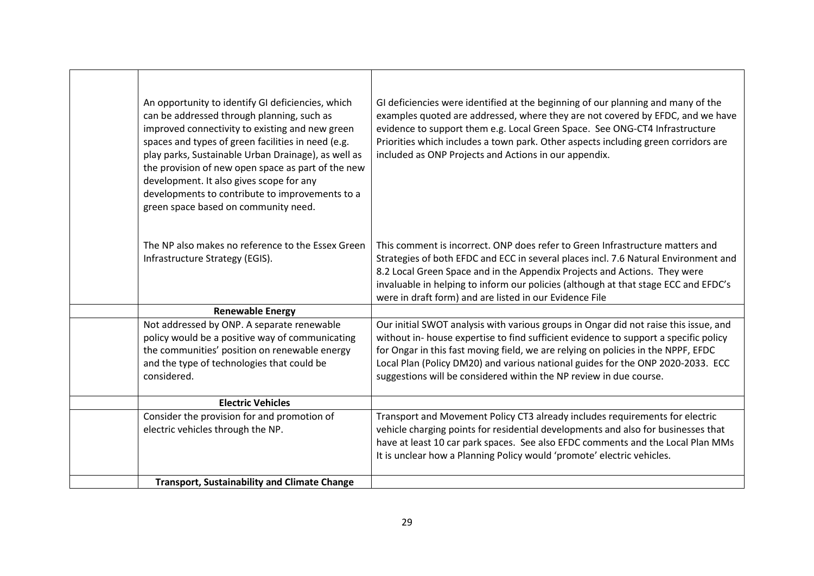| An opportunity to identify GI deficiencies, which<br>can be addressed through planning, such as<br>improved connectivity to existing and new green<br>spaces and types of green facilities in need (e.g.<br>play parks, Sustainable Urban Drainage), as well as<br>the provision of new open space as part of the new<br>development. It also gives scope for any<br>developments to contribute to improvements to a<br>green space based on community need. | GI deficiencies were identified at the beginning of our planning and many of the<br>examples quoted are addressed, where they are not covered by EFDC, and we have<br>evidence to support them e.g. Local Green Space. See ONG-CT4 Infrastructure<br>Priorities which includes a town park. Other aspects including green corridors are<br>included as ONP Projects and Actions in our appendix.                           |
|--------------------------------------------------------------------------------------------------------------------------------------------------------------------------------------------------------------------------------------------------------------------------------------------------------------------------------------------------------------------------------------------------------------------------------------------------------------|----------------------------------------------------------------------------------------------------------------------------------------------------------------------------------------------------------------------------------------------------------------------------------------------------------------------------------------------------------------------------------------------------------------------------|
| The NP also makes no reference to the Essex Green<br>Infrastructure Strategy (EGIS).                                                                                                                                                                                                                                                                                                                                                                         | This comment is incorrect. ONP does refer to Green Infrastructure matters and<br>Strategies of both EFDC and ECC in several places incl. 7.6 Natural Environment and<br>8.2 Local Green Space and in the Appendix Projects and Actions. They were<br>invaluable in helping to inform our policies (although at that stage ECC and EFDC's<br>were in draft form) and are listed in our Evidence File                        |
| <b>Renewable Energy</b>                                                                                                                                                                                                                                                                                                                                                                                                                                      |                                                                                                                                                                                                                                                                                                                                                                                                                            |
| Not addressed by ONP. A separate renewable<br>policy would be a positive way of communicating<br>the communities' position on renewable energy<br>and the type of technologies that could be<br>considered.                                                                                                                                                                                                                                                  | Our initial SWOT analysis with various groups in Ongar did not raise this issue, and<br>without in- house expertise to find sufficient evidence to support a specific policy<br>for Ongar in this fast moving field, we are relying on policies in the NPPF, EFDC<br>Local Plan (Policy DM20) and various national guides for the ONP 2020-2033. ECC<br>suggestions will be considered within the NP review in due course. |
| <b>Electric Vehicles</b>                                                                                                                                                                                                                                                                                                                                                                                                                                     |                                                                                                                                                                                                                                                                                                                                                                                                                            |
| Consider the provision for and promotion of<br>electric vehicles through the NP.                                                                                                                                                                                                                                                                                                                                                                             | Transport and Movement Policy CT3 already includes requirements for electric<br>vehicle charging points for residential developments and also for businesses that<br>have at least 10 car park spaces. See also EFDC comments and the Local Plan MMs<br>It is unclear how a Planning Policy would 'promote' electric vehicles.                                                                                             |
| <b>Transport, Sustainability and Climate Change</b>                                                                                                                                                                                                                                                                                                                                                                                                          |                                                                                                                                                                                                                                                                                                                                                                                                                            |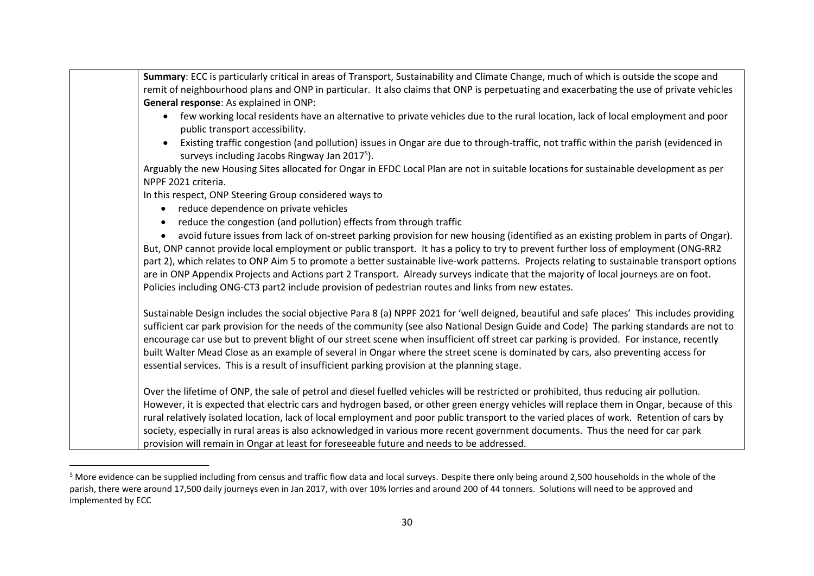| Summary: ECC is particularly critical in areas of Transport, Sustainability and Climate Change, much of which is outside the scope and                                                                                                                                                 |
|----------------------------------------------------------------------------------------------------------------------------------------------------------------------------------------------------------------------------------------------------------------------------------------|
| remit of neighbourhood plans and ONP in particular. It also claims that ONP is perpetuating and exacerbating the use of private vehicles                                                                                                                                               |
| General response: As explained in ONP:                                                                                                                                                                                                                                                 |
| few working local residents have an alternative to private vehicles due to the rural location, lack of local employment and poor<br>public transport accessibility.                                                                                                                    |
| Existing traffic congestion (and pollution) issues in Ongar are due to through-traffic, not traffic within the parish (evidenced in<br>surveys including Jacobs Ringway Jan 2017 <sup>5</sup> ).                                                                                       |
| Arguably the new Housing Sites allocated for Ongar in EFDC Local Plan are not in suitable locations for sustainable development as per                                                                                                                                                 |
| NPPF 2021 criteria.                                                                                                                                                                                                                                                                    |
| In this respect, ONP Steering Group considered ways to                                                                                                                                                                                                                                 |
| reduce dependence on private vehicles                                                                                                                                                                                                                                                  |
| reduce the congestion (and pollution) effects from through traffic                                                                                                                                                                                                                     |
| avoid future issues from lack of on-street parking provision for new housing (identified as an existing problem in parts of Ongar).<br>$\bullet$                                                                                                                                       |
| But, ONP cannot provide local employment or public transport. It has a policy to try to prevent further loss of employment (ONG-RR2                                                                                                                                                    |
| part 2), which relates to ONP Aim 5 to promote a better sustainable live-work patterns. Projects relating to sustainable transport options                                                                                                                                             |
| are in ONP Appendix Projects and Actions part 2 Transport. Already surveys indicate that the majority of local journeys are on foot.                                                                                                                                                   |
| Policies including ONG-CT3 part2 include provision of pedestrian routes and links from new estates.                                                                                                                                                                                    |
| Sustainable Design includes the social objective Para 8 (a) NPPF 2021 for 'well deigned, beautiful and safe places' This includes providing<br>sufficient car park provision for the needs of the community (see also National Design Guide and Code) The parking standards are not to |
| encourage car use but to prevent blight of our street scene when insufficient off street car parking is provided. For instance, recently                                                                                                                                               |
| built Walter Mead Close as an example of several in Ongar where the street scene is dominated by cars, also preventing access for                                                                                                                                                      |
| essential services. This is a result of insufficient parking provision at the planning stage.                                                                                                                                                                                          |
| Over the lifetime of ONP, the sale of petrol and diesel fuelled vehicles will be restricted or prohibited, thus reducing air pollution.                                                                                                                                                |
| However, it is expected that electric cars and hydrogen based, or other green energy vehicles will replace them in Ongar, because of this                                                                                                                                              |
| rural relatively isolated location, lack of local employment and poor public transport to the varied places of work. Retention of cars by                                                                                                                                              |
| society, especially in rural areas is also acknowledged in various more recent government documents. Thus the need for car park                                                                                                                                                        |
| provision will remain in Ongar at least for foreseeable future and needs to be addressed.                                                                                                                                                                                              |

<sup>&</sup>lt;sup>5</sup> More evidence can be supplied including from census and traffic flow data and local surveys. Despite there only being around 2,500 households in the whole of the parish, there were around 17,500 daily journeys even in Jan 2017, with over 10% lorries and around 200 of 44 tonners. Solutions will need to be approved and implemented by ECC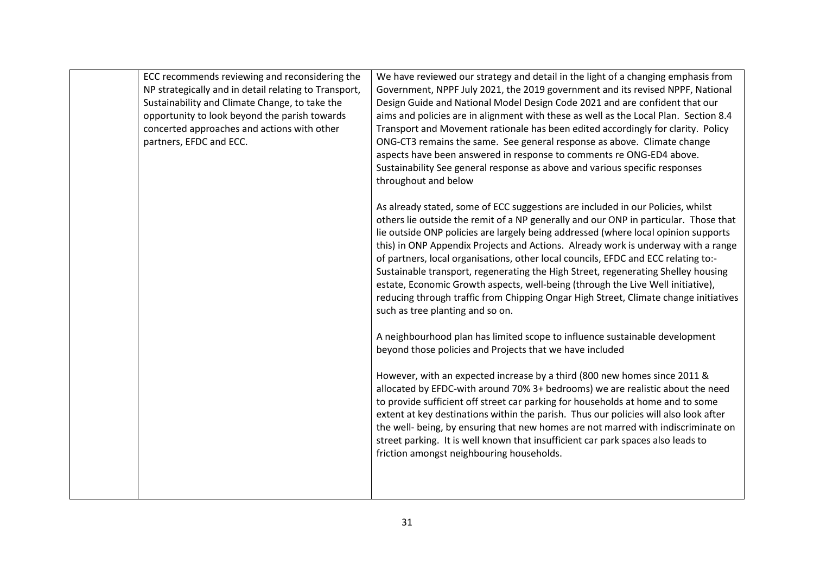| ECC recommends reviewing and reconsidering the<br>NP strategically and in detail relating to Transport,<br>Sustainability and Climate Change, to take the<br>opportunity to look beyond the parish towards<br>concerted approaches and actions with other<br>partners, EFDC and ECC. | We have reviewed our strategy and detail in the light of a changing emphasis from<br>Government, NPPF July 2021, the 2019 government and its revised NPPF, National<br>Design Guide and National Model Design Code 2021 and are confident that our<br>aims and policies are in alignment with these as well as the Local Plan. Section 8.4<br>Transport and Movement rationale has been edited accordingly for clarity. Policy<br>ONG-CT3 remains the same. See general response as above. Climate change<br>aspects have been answered in response to comments re ONG-ED4 above.<br>Sustainability See general response as above and various specific responses<br>throughout and below<br>As already stated, some of ECC suggestions are included in our Policies, whilst<br>others lie outside the remit of a NP generally and our ONP in particular. Those that<br>lie outside ONP policies are largely being addressed (where local opinion supports<br>this) in ONP Appendix Projects and Actions. Already work is underway with a range<br>of partners, local organisations, other local councils, EFDC and ECC relating to:-<br>Sustainable transport, regenerating the High Street, regenerating Shelley housing<br>estate, Economic Growth aspects, well-being (through the Live Well initiative), |
|--------------------------------------------------------------------------------------------------------------------------------------------------------------------------------------------------------------------------------------------------------------------------------------|--------------------------------------------------------------------------------------------------------------------------------------------------------------------------------------------------------------------------------------------------------------------------------------------------------------------------------------------------------------------------------------------------------------------------------------------------------------------------------------------------------------------------------------------------------------------------------------------------------------------------------------------------------------------------------------------------------------------------------------------------------------------------------------------------------------------------------------------------------------------------------------------------------------------------------------------------------------------------------------------------------------------------------------------------------------------------------------------------------------------------------------------------------------------------------------------------------------------------------------------------------------------------------------------------------------|
|                                                                                                                                                                                                                                                                                      | reducing through traffic from Chipping Ongar High Street, Climate change initiatives<br>such as tree planting and so on.<br>A neighbourhood plan has limited scope to influence sustainable development<br>beyond those policies and Projects that we have included<br>However, with an expected increase by a third (800 new homes since 2011 &<br>allocated by EFDC-with around 70% 3+ bedrooms) we are realistic about the need<br>to provide sufficient off street car parking for households at home and to some<br>extent at key destinations within the parish. Thus our policies will also look after<br>the well- being, by ensuring that new homes are not marred with indiscriminate on<br>street parking. It is well known that insufficient car park spaces also leads to<br>friction amongst neighbouring households.                                                                                                                                                                                                                                                                                                                                                                                                                                                                          |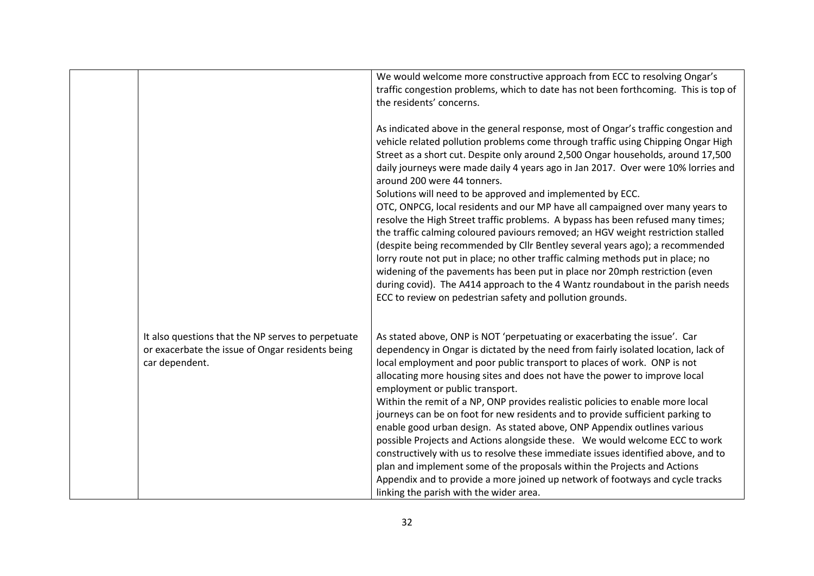|                                                                                                                          | We would welcome more constructive approach from ECC to resolving Ongar's<br>traffic congestion problems, which to date has not been forthcoming. This is top of<br>the residents' concerns.                                                                                                                                                                                                                                                                                                                                                                                                                                                                                                                                                                                                                                                                                                                                                                                             |
|--------------------------------------------------------------------------------------------------------------------------|------------------------------------------------------------------------------------------------------------------------------------------------------------------------------------------------------------------------------------------------------------------------------------------------------------------------------------------------------------------------------------------------------------------------------------------------------------------------------------------------------------------------------------------------------------------------------------------------------------------------------------------------------------------------------------------------------------------------------------------------------------------------------------------------------------------------------------------------------------------------------------------------------------------------------------------------------------------------------------------|
|                                                                                                                          | As indicated above in the general response, most of Ongar's traffic congestion and<br>vehicle related pollution problems come through traffic using Chipping Ongar High<br>Street as a short cut. Despite only around 2,500 Ongar households, around 17,500<br>daily journeys were made daily 4 years ago in Jan 2017. Over were 10% lorries and<br>around 200 were 44 tonners.                                                                                                                                                                                                                                                                                                                                                                                                                                                                                                                                                                                                          |
|                                                                                                                          | Solutions will need to be approved and implemented by ECC.<br>OTC, ONPCG, local residents and our MP have all campaigned over many years to<br>resolve the High Street traffic problems. A bypass has been refused many times;<br>the traffic calming coloured paviours removed; an HGV weight restriction stalled<br>(despite being recommended by Cllr Bentley several years ago); a recommended<br>lorry route not put in place; no other traffic calming methods put in place; no<br>widening of the pavements has been put in place nor 20mph restriction (even<br>during covid). The A414 approach to the 4 Wantz roundabout in the parish needs<br>ECC to review on pedestrian safety and pollution grounds.                                                                                                                                                                                                                                                                      |
| It also questions that the NP serves to perpetuate<br>or exacerbate the issue of Ongar residents being<br>car dependent. | As stated above, ONP is NOT 'perpetuating or exacerbating the issue'. Car<br>dependency in Ongar is dictated by the need from fairly isolated location, lack of<br>local employment and poor public transport to places of work. ONP is not<br>allocating more housing sites and does not have the power to improve local<br>employment or public transport.<br>Within the remit of a NP, ONP provides realistic policies to enable more local<br>journeys can be on foot for new residents and to provide sufficient parking to<br>enable good urban design. As stated above, ONP Appendix outlines various<br>possible Projects and Actions alongside these. We would welcome ECC to work<br>constructively with us to resolve these immediate issues identified above, and to<br>plan and implement some of the proposals within the Projects and Actions<br>Appendix and to provide a more joined up network of footways and cycle tracks<br>linking the parish with the wider area. |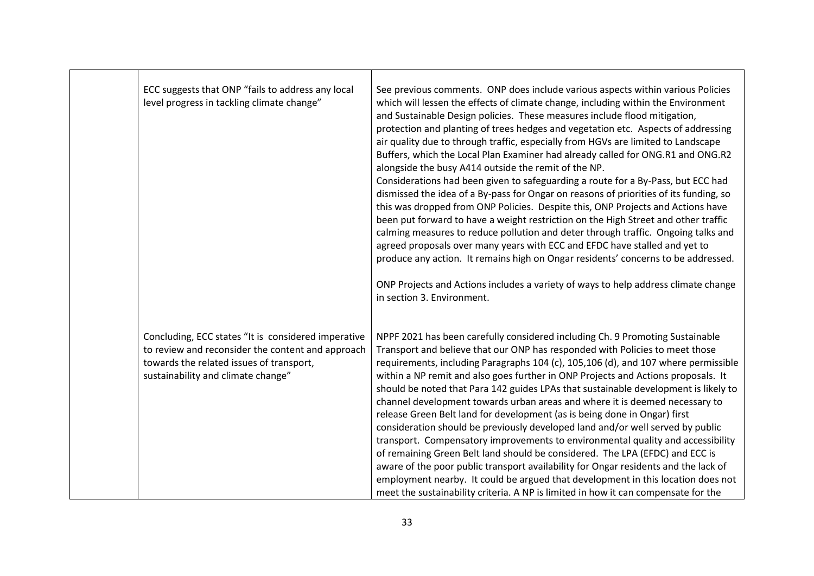| ECC suggests that ONP "fails to address any local<br>level progress in tackling climate change"                                                                                            | See previous comments. ONP does include various aspects within various Policies<br>which will lessen the effects of climate change, including within the Environment<br>and Sustainable Design policies. These measures include flood mitigation,<br>protection and planting of trees hedges and vegetation etc. Aspects of addressing<br>air quality due to through traffic, especially from HGVs are limited to Landscape<br>Buffers, which the Local Plan Examiner had already called for ONG.R1 and ONG.R2<br>alongside the busy A414 outside the remit of the NP.<br>Considerations had been given to safeguarding a route for a By-Pass, but ECC had<br>dismissed the idea of a By-pass for Ongar on reasons of priorities of its funding, so<br>this was dropped from ONP Policies. Despite this, ONP Projects and Actions have<br>been put forward to have a weight restriction on the High Street and other traffic<br>calming measures to reduce pollution and deter through traffic. Ongoing talks and<br>agreed proposals over many years with ECC and EFDC have stalled and yet to<br>produce any action. It remains high on Ongar residents' concerns to be addressed.<br>ONP Projects and Actions includes a variety of ways to help address climate change<br>in section 3. Environment. |
|--------------------------------------------------------------------------------------------------------------------------------------------------------------------------------------------|----------------------------------------------------------------------------------------------------------------------------------------------------------------------------------------------------------------------------------------------------------------------------------------------------------------------------------------------------------------------------------------------------------------------------------------------------------------------------------------------------------------------------------------------------------------------------------------------------------------------------------------------------------------------------------------------------------------------------------------------------------------------------------------------------------------------------------------------------------------------------------------------------------------------------------------------------------------------------------------------------------------------------------------------------------------------------------------------------------------------------------------------------------------------------------------------------------------------------------------------------------------------------------------------------------|
| Concluding, ECC states "It is considered imperative<br>to review and reconsider the content and approach<br>towards the related issues of transport,<br>sustainability and climate change" | NPPF 2021 has been carefully considered including Ch. 9 Promoting Sustainable<br>Transport and believe that our ONP has responded with Policies to meet those<br>requirements, including Paragraphs 104 (c), 105,106 (d), and 107 where permissible<br>within a NP remit and also goes further in ONP Projects and Actions proposals. It<br>should be noted that Para 142 guides LPAs that sustainable development is likely to<br>channel development towards urban areas and where it is deemed necessary to<br>release Green Belt land for development (as is being done in Ongar) first<br>consideration should be previously developed land and/or well served by public<br>transport. Compensatory improvements to environmental quality and accessibility<br>of remaining Green Belt land should be considered. The LPA (EFDC) and ECC is<br>aware of the poor public transport availability for Ongar residents and the lack of<br>employment nearby. It could be argued that development in this location does not<br>meet the sustainability criteria. A NP is limited in how it can compensate for the                                                                                                                                                                                        |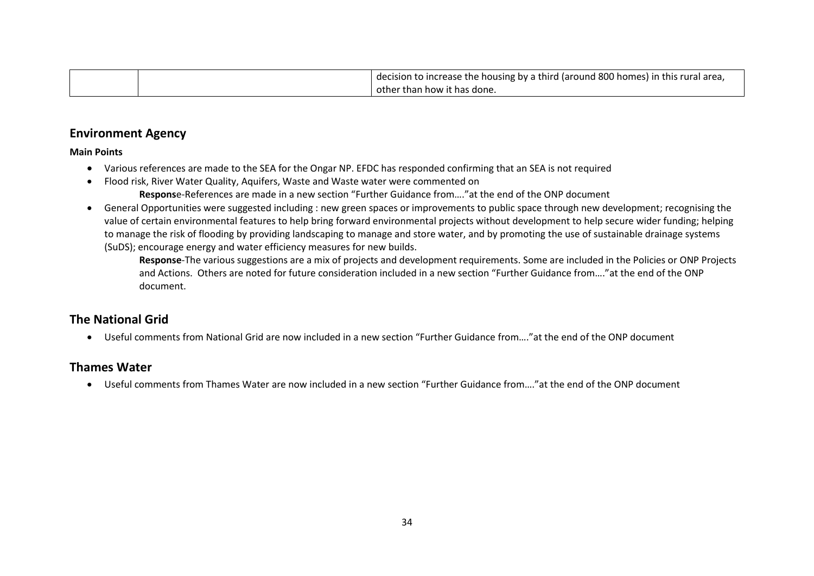|  | I decision to increase the housing by a third (around 800 homes) in this rural area, |
|--|--------------------------------------------------------------------------------------|
|  | other than how it has done.                                                          |

#### **Environment Agency**

#### **Main Points**

- Various references are made to the SEA for the Ongar NP. EFDC has responded confirming that an SEA is not required
- Flood risk, River Water Quality, Aquifers, Waste and Waste water were commented on **Respons**e-References are made in a new section "Further Guidance from…."at the end of the ONP document
- General Opportunities were suggested including : new green spaces or improvements to public space through new development; recognising the value of certain environmental features to help bring forward environmental projects without development to help secure wider funding; helping to manage the risk of flooding by providing landscaping to manage and store water, and by promoting the use of sustainable drainage systems (SuDS); encourage energy and water efficiency measures for new builds.

**Response**-The various suggestions are a mix of projects and development requirements. Some are included in the Policies or ONP Projects and Actions. Others are noted for future consideration included in a new section "Further Guidance from…."at the end of the ONP document.

#### **The National Grid**

• Useful comments from National Grid are now included in a new section "Further Guidance from…."at the end of the ONP document

#### **Thames Water**

• Useful comments from Thames Water are now included in a new section "Further Guidance from…."at the end of the ONP document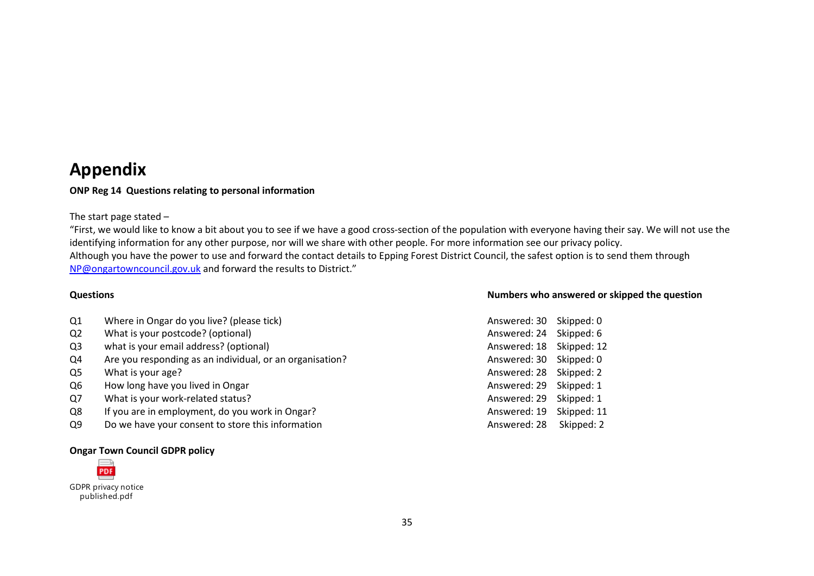## **Appendix**

#### **ONP Reg 14 Questions relating to personal information**

#### The start page stated –

"First, we would like to know a bit about you to see if we have a good cross-section of the population with everyone having their say. We will not use the identifying information for any other purpose, nor will we share with other people. For more information see our privacy policy. Although you have the power to use and forward the contact details to Epping Forest District Council, the safest option is to send them through [NP@ongartowncouncil.gov.uk](mailto:NP@ongartowncouncil.gov.uk) and forward the results to District."

| Q1 | Where in Ongar do you live? (please tick) | Answered: 30 Skipped: 0 |  |
|----|-------------------------------------------|-------------------------|--|
|----|-------------------------------------------|-------------------------|--|

- Q2 What is your postcode? (optional)
- Q3 what is your email address? (optional)
- Q4 Are you responding as an individual, or an organisation?
- $Q5$  What is your age?
- Q6 How long have you lived in Ongar
- Q7 What is your work-related status?
- Q8 If you are in employment, do you work in Ongar?
- Q9 Do we have your consent to store this information

#### **Ongar Town Council GDPR policy**



GDPR privacy notice published.pdf

#### **Questions Numbers who answered or skipped the question**

| Answered: 30 | Skipped: 0  |
|--------------|-------------|
| Answered: 24 | Skipped: 6  |
| Answered: 18 | Skipped: 12 |
| Answered: 30 | Skipped: 0  |
| Answered: 28 | Skipped: 2  |
| Answered: 29 | Skipped: 1  |
| Answered: 29 | Skipped: 1  |
| Answered: 19 | Skipped: 11 |
| Answered: 28 | Skipped: 2  |